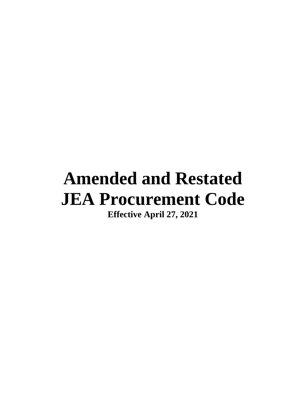# **Amended and Restated JEA Procurement Code**

**Effective April 27, 2021**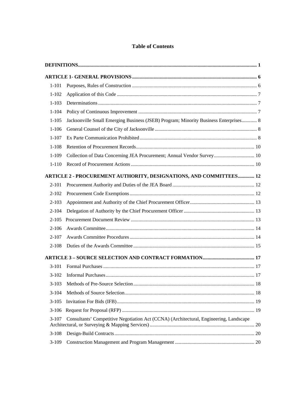### **Table of Contents**

| $1 - 101$ |                                                                                        |  |
|-----------|----------------------------------------------------------------------------------------|--|
| $1 - 102$ |                                                                                        |  |
| $1 - 103$ |                                                                                        |  |
| $1 - 104$ |                                                                                        |  |
| $1 - 105$ | Jacksonville Small Emerging Business (JSEB) Program; Minority Business Enterprises 8   |  |
| $1 - 106$ |                                                                                        |  |
| $1 - 107$ |                                                                                        |  |
| $1 - 108$ |                                                                                        |  |
| $1-109$   | Collection of Data Concerning JEA Procurement; Annual Vendor Survey 10                 |  |
| $1 - 110$ |                                                                                        |  |
|           | ARTICLE 2 - PROCUREMENT AUTHORITY, DESIGNATIONS, AND COMMITTEES 12                     |  |
| $2 - 101$ |                                                                                        |  |
| $2 - 102$ |                                                                                        |  |
| $2 - 103$ |                                                                                        |  |
| $2 - 104$ |                                                                                        |  |
| $2 - 105$ |                                                                                        |  |
| $2 - 106$ |                                                                                        |  |
| $2 - 107$ |                                                                                        |  |
| $2 - 108$ |                                                                                        |  |
|           |                                                                                        |  |
| $3-101$   |                                                                                        |  |
| $3-102$   |                                                                                        |  |
| $3-103$   |                                                                                        |  |
| $3-104$   |                                                                                        |  |
| $3-105$   |                                                                                        |  |
| $3-106$   |                                                                                        |  |
| $3-107$   | Consultants' Competitive Negotiation Act (CCNA) (Architectural, Engineering, Landscape |  |
| $3-108$   |                                                                                        |  |
| $3-109$   |                                                                                        |  |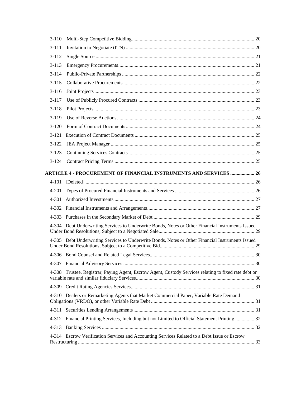| $3-110$   |                                                                                                       |  |
|-----------|-------------------------------------------------------------------------------------------------------|--|
| $3 - 111$ |                                                                                                       |  |
| $3-112$   |                                                                                                       |  |
| $3 - 113$ |                                                                                                       |  |
| $3-114$   |                                                                                                       |  |
| $3 - 115$ |                                                                                                       |  |
| $3-116$   |                                                                                                       |  |
| $3-117$   |                                                                                                       |  |
| $3 - 118$ |                                                                                                       |  |
| $3-119$   |                                                                                                       |  |
| $3-120$   |                                                                                                       |  |
| $3-121$   |                                                                                                       |  |
| $3-122$   |                                                                                                       |  |
| $3-123$   |                                                                                                       |  |
| $3-124$   |                                                                                                       |  |
|           | <b>ARTICLE 4 - PROCUREMENT OF FINANCIAL INSTRUMENTS AND SERVICES  26</b>                              |  |
|           |                                                                                                       |  |
| 4-201     |                                                                                                       |  |
| 4-301     |                                                                                                       |  |
|           |                                                                                                       |  |
|           |                                                                                                       |  |
|           | 4-304 Debt Underwriting Services to Underwrite Bonds, Notes or Other Financial Instruments Issued     |  |
|           | 4-305 Debt Underwriting Services to Underwrite Bonds, Notes or Other Financial Instruments Issued     |  |
|           |                                                                                                       |  |
|           |                                                                                                       |  |
|           | 4-308 Trustee, Registrar, Paying Agent, Escrow Agent, Custody Services relating to fixed rate debt or |  |
|           |                                                                                                       |  |
|           | 4-310 Dealers or Remarketing Agents that Market Commercial Paper, Variable Rate Demand                |  |
| 4-311     |                                                                                                       |  |
|           | 4-312 Financial Printing Services, Including but not Limited to Official Statement Printing  32       |  |
| 4-313     |                                                                                                       |  |
|           | 4-314 Escrow Verification Services and Accounting Services Related to a Debt Issue or Escrow          |  |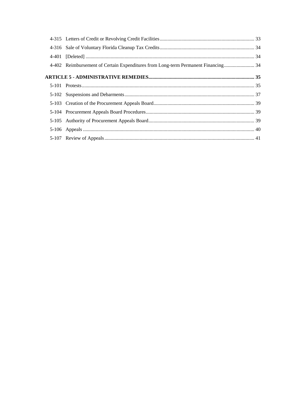| 4-402 Reimbursement of Certain Expenditures from Long-term Permanent Financing 34 |  |
|-----------------------------------------------------------------------------------|--|
|                                                                                   |  |
|                                                                                   |  |
|                                                                                   |  |
|                                                                                   |  |
|                                                                                   |  |
|                                                                                   |  |
|                                                                                   |  |
|                                                                                   |  |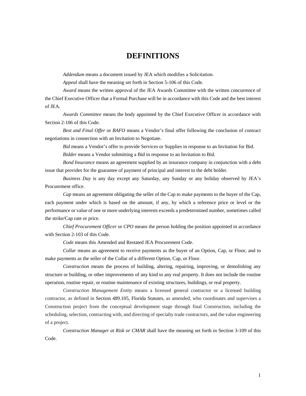# **DEFINITIONS**

<span id="page-4-0"></span>*Addendum* means a document issued by JEA which modifies a Solicitation.

*Appeal* shall have the meaning set forth in Section 5-106 of this Code.

*Award* means the written approval of the JEA Awards Committee with the written concurrence of the Chief Executive Officer that a Formal Purchase will be in accordance with this Code and the best interest of JEA.

*Awards Committee* means the body appointed by the Chief Executive Officer in accordance with Section 2-106 of this Code.

*Best and Final Offer* or *BAFO* means a Vendor's final offer following the conclusion of contract negotiations in connection with an Invitation to Negotiate.

*Bid* means a Vendor's offer to provide Services or Supplies in response to an Invitation for Bid.

*Bidder* means a Vendor submitting a Bid in response to an Invitation to Bid.

*Bond Insurance* means an agreement supplied by an insurance company in conjunction with a debt issue that provides for the guarantee of payment of principal and interest to the debt holder.

*Business Day* is any day except any Saturday, any Sunday or any holiday observed by JEA's Procurement office.

*Cap* means an agreement obligating the seller of the Cap to make payments to the buyer of the Cap, each payment under which is based on the amount, if any, by which a reference price or level or the performance or value of one or more underlying interests exceeds a predetermined number, sometimes called the strike/Cap rate or price.

*Chief Procurement Officer* or *CPO* means the person holding the position appointed in accordance with Section 2-103 of this Code.

*Code* means this Amended and Restated JEA Procurement Code.

*Collar* means an agreement to receive payments as the buyer of an Option, Cap, or Floor, and to make payments as the seller of the Collar of a different Option, Cap, or Floor.

*Construction* means the process of building, altering, repairing, improving, or demolishing any structure or building, or other improvements of any kind to any real property. It does not include the routine operation, routine repair, or routine maintenance of existing structures, buildings, or real property.

*Construction Management Entity* means a licensed general contractor or a licensed building contractor, as defined in Section 489.105, Florida Statutes, as amended, who coordinates and supervises a Construction project from the conceptual development stage through final Construction, including the scheduling, selection, contracting with, and directing of specialty trade contractors, and the value engineering of a project.

*Construction Manager at Risk or CMAR* shall have the meaning set forth in Section 3-109 of this Code.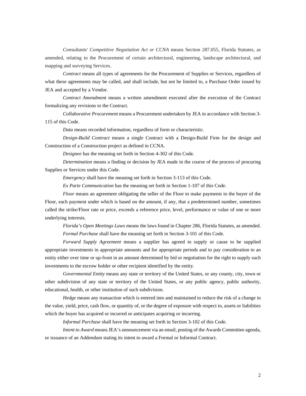*Consultants' Competitive Negotiation Act or CCNA* means Section 287.055, Florida Statutes, as amended, relating to the Procurement of certain architectural, engineering, landscape architectural, and mapping and surveying Services.

*Contract* means all types of agreements for the Procurement of Supplies or Services, regardless of what these agreements may be called, and shall include, but not be limited to, a Purchase Order issued by JEA and accepted by a Vendor.

*Contract Amendment* means a written amendment executed after the execution of the Contract formalizing any revisions to the Contract.

*Collaborative Procurement* means a Procurement undertaken by JEA in accordance with Section 3- 115 of this Code.

*Data* means recorded information, regardless of form or characteristic.

*Design-Build Contract* means a single Contract with a Design-Build Firm for the design and Construction of a Construction project as defined in CCNA.

*Designee* has the meaning set forth in Section 4-302 of this Code.

*Determination* means a finding or decision by JEA made in the course of the process of procuring Supplies or Services under this Code.

*Emergency* shall have the meaning set forth in Section 3-113 of this Code.

*Ex Parte Communication* has the meaning set forth in Section 1-107 of this Code.

*Floor* means an agreement obligating the seller of the Floor to make payments to the buyer of the Floor, each payment under which is based on the amount, if any, that a predetermined number, sometimes called the strike/Floor rate or price, exceeds a reference price, level, performance or value of one or more underlying interests.

*Florida's Open Meetings Laws* means the laws found in Chapter 286, Florida Statutes, as amended. *Formal Purchase* shall have the meaning set forth in Section 3-101 of this Code.

*Forward Supply Agreement* means a supplier has agreed to supply or cause to be supplied appropriate investments in appropriate amounts and for appropriate periods and to pay consideration to an entity either over time or up-front in an amount determined by bid or negotiation for the right to supply such investments to the escrow holder or other recipient identified by the entity.

*Governmental Entity* means any state or territory of the United States, or any county, city, town or other subdivision of any state or territory of the United States, or any public agency, public authority, educational, health, or other institution of such subdivision.

*Hedge* means any transaction which is entered into and maintained to reduce the risk of a change in the value, yield, price, cash flow, or quantity of, or the degree of exposure with respect to, assets or liabilities which the buyer has acquired or incurred or anticipates acquiring or incurring.

*Informal Purchase* shall have the meaning set forth in Section 3-102 of this Code.

*Intent to Award* means JEA's announcement via an email, posting of the Awards Committee agenda, or issuance of an Addendum stating its intent to award a Formal or Informal Contract.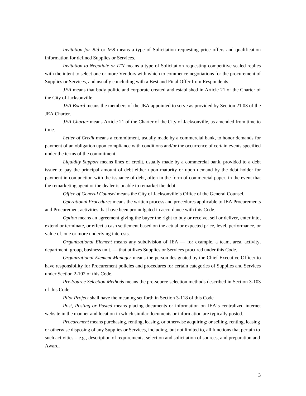*Invitation for Bid* or *IFB* means a type of Solicitation requesting price offers and qualification information for defined Supplies or Services.

*Invitation to Negotiate or ITN* means a type of Solicitation requesting competitive sealed replies with the intent to select one or more Vendors with which to commence negotiations for the procurement of Supplies or Services, and usually concluding with a Best and Final Offer from Respondents.

*JEA* means that body politic and corporate created and established in Article 21 of the Charter of the City of Jacksonville.

*JEA Board* means the members of the JEA appointed to serve as provided by Section 21.03 of the JEA Charter.

*JEA Charter* means Article 21 of the Charter of the City of Jacksonville, as amended from time to time.

*Letter of Credit* means a commitment, usually made by a commercial bank, to honor demands for payment of an obligation upon compliance with conditions and/or the occurrence of certain events specified under the terms of the commitment.

*Liquidity Support* means lines of credit, usually made by a commercial bank, provided to a debt issuer to pay the principal amount of debt either upon maturity or upon demand by the debt holder for payment in conjunction with the issuance of debt, often in the form of commercial paper, in the event that the remarketing agent or the dealer is unable to remarket the debt.

*Office of General Counsel* means the City of Jacksonville's Office of the General Counsel.

*Operational Procedures* means the written process and procedures applicable to JEA Procurements and Procurement activities that have been promulgated in accordance with this Code.

*Option* means an agreement giving the buyer the right to buy or receive, sell or deliver, enter into, extend or terminate, or effect a cash settlement based on the actual or expected price, level, performance, or value of, one or more underlying interests.

*Organizational Element* means any subdivision of JEA — for example, a team, area, activity, department, group, business unit. — that utilizes Supplies or Services procured under this Code.

*Organizational Element Manager* means the person designated by the Chief Executive Officer to have responsibility for Procurement policies and procedures for certain categories of Supplies and Services under Section 2-102 of this Code.

*Pre-Source Selection Methods* means the pre-source selection methods described in Section 3-103 of this Code.

*Pilot Project* shall have the meaning set forth in Section 3-118 of this Code*.*

*Post, Posting or Posted* means placing documents or information on JEA's centralized internet website in the manner and location in which similar documents or information are typically posted.

*Procurement* means purchasing, renting, leasing, or otherwise acquiring; or selling, renting, leasing or otherwise disposing of any Supplies or Services, including, but not limited to, all functions that pertain to such activities – e.g., description of requirements, selection and solicitation of sources, and preparation and Award.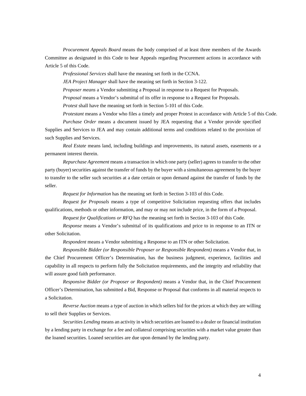*Procurement Appeals Board* means the body comprised of at least three members of the Awards Committee as designated in this Code to hear Appeals regarding Procurement actions in accordance with Article 5 of this Code.

*Professional Services* shall have the meaning set forth in the CCNA.

*JEA Project Manager* shall have the meaning set forth in Section 3-122.

*Proposer means* a Vendor submitting a Proposal in response to a Request for Proposals.

*Proposal* means a Vendor's submittal of its offer in response to a Request for Proposals.

*Protest* shall have the meaning set forth in Section 5-101 of this Code.

*Protestant* means a Vendor who files a timely and proper Protest in accordance with Article 5 of this Code. *Purchase Order* means a document issued by JEA requesting that a Vendor provide specified Supplies and Services to JEA and may contain additional terms and conditions related to the provision of such Supplies and Services.

*Real Estate* means land, including buildings and improvements, its natural assets, easements or a permanent interest therein.

*Repurchase Agreement* means a transaction in which one party (seller) agrees to transfer to the other party (buyer) securities against the transfer of funds by the buyer with a simultaneous agreement by the buyer to transfer to the seller such securities at a date certain or upon demand against the transfer of funds by the seller.

*Request for Information* has the meaning set forth in Section 3-103 of this Code.

*Request for Proposals* means a type of competitive Solicitation requesting offers that includes qualifications, methods or other information, and may or may not include price, in the form of a Proposal.

*Request for Qualifications or RFQ* has the meaning set forth in Section 3-103 of this Code*.*

*Response* means a Vendor's submittal of its qualifications and price to in response to an ITN or other Solicitation.

*Respondent* means a Vendor submitting a Response to an ITN or other Solicitation.

*Responsible Bidder (or Responsible Proposer or Responsible Respondent)* means a Vendor that, in the Chief Procurement Officer's Determination, has the business judgment, experience, facilities and capability in all respects to perform fully the Solicitation requirements, and the integrity and reliability that will assure good faith performance.

*Responsive Bidder (or Proposer or Respondent)* means a Vendor that, in the Chief Procurement Officer's Determination, has submitted a Bid, Response or Proposal that conforms in all material respects to a Solicitation.

*Reverse Auction* means a type of auction in which sellers bid for the prices at which they are willing to sell their Supplies or Services.

*Securities Lending* means an activity in which securities are loaned to a dealer or financial institution by a lending party in exchange for a fee and collateral comprising securities with a market value greater than the loaned securities. Loaned securities are due upon demand by the lending party.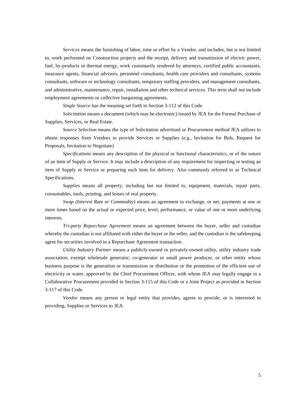*Services* means the furnishing of labor, time or effort by a Vendor, and includes, but is not limited to, work performed on Construction projects and the receipt, delivery and transmission of electric power, fuel, by-products or thermal energy, work customarily rendered by attorneys, certified public accountants, insurance agents, financial advisors, personnel consultants, health care providers and consultants, systems consultants, software or technology consultants, temporary staffing providers, and management consultants, and administrative, maintenance, repair, installation and other technical services. This term shall not include employment agreements or collective bargaining agreements.

*Single Source* has the meaning set forth in Section 3-112 of this Code.

*Solicitation* means a document (which may be electronic) issued by JEA for the Formal Purchase of Supplies, Services, or Real Estate.

*Source Selection* means the type of Solicitation advertised or Procurement method JEA utilizes to obtain responses from Vendors to provide Services or Supplies (e.g., Invitation for Bids, Request for Proposals, Invitation to Negotiate)

*Specifications* means any description of the physical or functional characteristics, or of the nature of an item of Supply or Service. It may include a description of any requirement for inspecting or testing an item of Supply or Service or preparing such item for delivery. Also commonly referred to as Technical Specifications.

*Supplies* means all property, including but not limited to, equipment, materials, repair parts, consumables, tools, printing, and leases of real property.

*Swap (Interest Rate or Commodity)* means an agreement to exchange, or net, payments at one or more times based on the actual or expected price, level, performance, or value of one or more underlying interests.

*Tri-party Repurchase Agreement* means an agreement between the buyer, seller and custodian whereby the custodian is not affiliated with either the buyer or the seller, and the custodian is the safekeeping agent for securities involved in a Repurchase Agreement transaction.

*Utility Industry Partner* means a publicly-owned or privately-owned utility, utility industry trade association; exempt wholesale generator; co-generator or small power producer, or other entity whose business purpose is the generation or transmission or distribution or the promotion of the efficient use of electricity or water, approved by the Chief Procurement Officer, with whom JEA may legally engage in a Collaborative Procurement provided in Section 3-115 of this Code or a Joint Project as provided in Section 3-117 of this Code.

*Vendor* means any person or legal entity that provides, agrees to provide, or is interested in providing, Supplies or Services to JEA.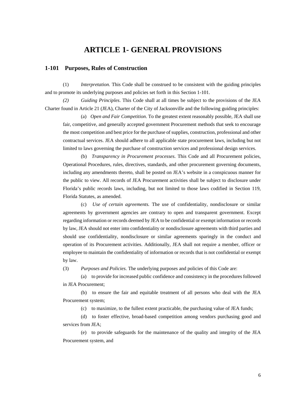## **ARTICLE 1- GENERAL PROVISIONS**

#### <span id="page-9-1"></span><span id="page-9-0"></span>**1-101 Purposes, Rules of Construction**

(1) *Interpretation.* This Code shall be construed to be consistent with the guiding principles and to promote its underlying purposes and policies set forth in this Section 1-101.

*(2) Guiding Principles*. This Code shall at all times be subject to the provisions of the JEA Charter found in Article 21 (JEA), Charter of the City of Jacksonville and the following guiding principles:

(a) *Open and Fair Competition*. To the greatest extent reasonably possible, JEA shall use fair, competitive, and generally accepted government Procurement methods that seek to encourage the most competition and best price for the purchase of supplies, construction, professional and other contractual services. JEA should adhere to all applicable state procurement laws, including but not limited to laws governing the purchase of construction services and professional design services.

(b) *Transparency in Procurement processes*. This Code and all Procurement policies, Operational Procedures, rules, directives, standards, and other procurement governing documents, including any amendments thereto, shall be posted on JEA's website in a conspicuous manner for the public to view. All records of JEA Procurement activities shall be subject to disclosure under Florida's public records laws, including, but not limited to those laws codified in Section 119, Florida Statutes, as amended.

(c) *Use of certain agreements.* The use of confidentiality, nondisclosure or similar agreements by government agencies are contrary to open and transparent government. Except regarding information or records deemed by JEA to be confidential or exempt information or records by law, JEA should not enter into confidentiality or nondisclosure agreements with third parties and should use confidentiality, nondisclosure or similar agreements sparingly in the conduct and operation of its Procurement activities. Additionally, JEA shall not require a member, officer or employee to maintain the confidentiality of information or records that is not confidential or exempt by law.

(3) *Purposes and Policies*. The underlying purposes and policies of this Code are:

(a) to provide for increased public confidence and consistency in the procedures followed in JEA Procurement;

(b) to ensure the fair and equitable treatment of all persons who deal with the JEA Procurement system;

(c) to maximize, to the fullest extent practicable, the purchasing value of JEA funds;

(d) to foster effective, broad-based competition among vendors purchasing good and services from JEA;

(e) to provide safeguards for the maintenance of the quality and integrity of the JEA Procurement system, and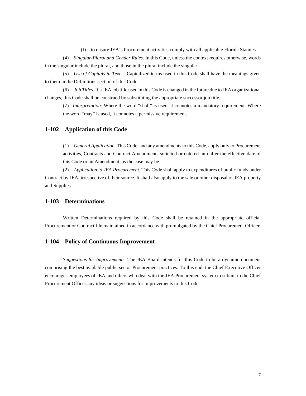(f) to ensure JEA's Procurement activities comply with all applicable Florida Statutes.

(4) *Singular-Plural and Gender Rules*. In this Code, unless the context requires otherwise, words in the singular include the plural, and those in the plural include the singular.

(5) *Use of Capitals in Text*. Capitalized terms used in this Code shall have the meanings given to them in the Definitions section of this Code.

(6) *Job Titles*. If a JEA job title used in this Code is changed in the future due to JEA organizational changes, this Code shall be construed by substituting the appropriate successor job title.

(7) *Interpretation*: Where the word "shall" is used, it connotes a mandatory requirement. Where the word "may" is used, it connotes a permissive requirement.

#### <span id="page-10-0"></span>**1-102 Application of this Code**

(1) *General Application.* This Code, and any amendments to this Code, apply only to Procurement activities, Contracts and Contract Amendments solicited or entered into after the effective date of this Code or an Amendment, as the case may be.

(2) *Application to JEA Procurement.* This Code shall apply to expenditures of public funds under Contract by JEA, irrespective of their source. It shall also apply to the sale or other disposal of JEA property and Supplies.

#### <span id="page-10-1"></span>**1-103 Determinations**

Written Determinations required by this Code shall be retained in the appropriate official Procurement or Contract file maintained in accordance with promulgated by the Chief Procurement Officer.

#### <span id="page-10-2"></span>**1-104 Policy of Continuous Improvement**

*Suggestions for Improvements*. The JEA Board intends for this Code to be a dynamic document comprising the best available public sector Procurement practices. To this end, the Chief Executive Officer encourages employees of JEA and others who deal with the JEA Procurement system to submit to the Chief Procurement Officer any ideas or suggestions for improvements to this Code.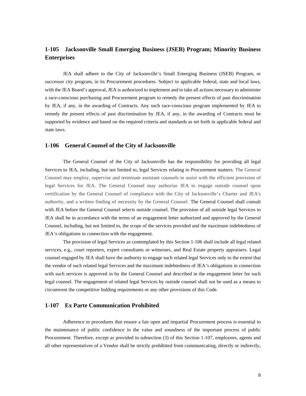## <span id="page-11-0"></span>**1-105 Jacksonville Small Emerging Business (JSEB) Program; Minority Business Enterprises**

JEA shall adhere to the City of Jacksonville's Small Emerging Business (JSEB) Program, or successor city program, in its Procurement procedures. Subject to applicable federal, state and local laws, with the JEA Board's approval, JEA is authorized to implement and to take all actions necessary to administer a race-conscious purchasing and Procurement program to remedy the present effects of past discrimination by JEA, if any, in the awarding of Contracts. Any such race-conscious program implemented by JEA to remedy the present effects of past discrimination by JEA, if any, in the awarding of Contracts must be supported by evidence and based on the required criteria and standards as set forth in applicable federal and state laws.

#### <span id="page-11-1"></span>**1-106 General Counsel of the City of Jacksonville**

The General Counsel of the City of Jacksonville has the responsibility for providing all legal Services to JEA, including, but not limited to, legal Services relating to Procurement matters. The General Counsel may employ, supervise and terminate assistant counsels to assist with the efficient provision of legal Services for JEA. The General Counsel may authorize JEA to engage outside counsel upon certification by the General Counsel of compliance with the City of Jacksonville's Charter and JEA's authority, and a written finding of necessity by the General Counsel. The General Counsel shall consult with JEA before the General Counsel selects outside counsel. The provision of all outside legal Services to JEA shall be in accordance with the terms of an engagement letter authorized and approved by the General Counsel, including, but not limited to, the scope of the services provided and the maximum indebtedness of JEA's obligations in connection with the engagement.

The provision of legal Services as contemplated by this Section 1-106 shall include all legal related services, e.g., court reporters, expert consultants or witnesses, and Real Estate property appraisers. Legal counsel engaged by JEA shall have the authority to engage such related legal Services only to the extent that the vendor of such related legal Services and the maximum indebtedness of JEA's obligations in connection with such services is approved in by the General Counsel and described in the engagement letter for such legal counsel. The engagement of related legal Services by outside counsel shall not be used as a means to circumvent the competitive bidding requirements or any other provisions of this Code.

#### <span id="page-11-2"></span>**1-107 Ex Parte Communication Prohibited**

Adherence to procedures that ensure a fair open and impartial Procurement process is essential to the maintenance of public confidence in the value and soundness of the important process of public Procurement. Therefore, except as provided in subsection (3) of this Section 1-107, employees, agents and all other representatives of a Vendor shall be strictly prohibited from communicating, directly or indirectly,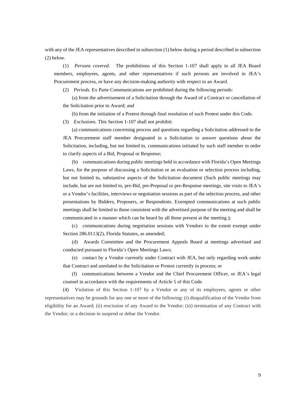with any of the JEA representatives described in subsection (1) below during a period described in subsection (2) below.

(1) *Persons covered*. The prohibitions of this Section 1-107 shall apply to all JEA Board members, employees, agents, and other representatives if such persons are involved in JEA's Procurement process, or have any decision-making authority with respect to an Award.

(2) *Periods.* Ex Parte Communications are prohibited during the following periods:

(a) from the advertisement of a Solicitation through the Award of a Contract or cancellation of the Solicitation prior to Award; and

(b) from the initiation of a Protest through final resolution of such Protest under this Code.

(3) *Exclusions*. This Section 1-107 shall not prohibit:

(a) communications concerning process and questions regarding a Solicitation addressed to the JEA Procurement staff member designated in a Solicitation to answer questions about the Solicitation, including, but not limited to, communications initiated by such staff member in order to clarify aspects of a Bid, Proposal or Response;

(b) communications during public meetings held in accordance with Florida's Open Meetings Laws, for the purpose of discussing a Solicitation or an evaluation or selection process including, but not limited to, substantive aspects of the Solicitation document (Such public meetings may include, but are not limited to, pre-Bid, pre-Proposal or pre-Response meetings, site visits to JEA's or a Vendor's facilities, interviews or negotiation sessions as part of the selection process, and other presentations by Bidders, Proposers, or Respondents. Exempted communications at such public meetings shall be limited to those consistent with the advertised purpose of the meeting and shall be communicated in a manner which can be heard by all those present at the meeting.);

(c) communications during negotiation sessions with Vendors to the extent exempt under Section 286.0113(2), Florida Statutes, as amended;

(d) Awards Committee and the Procurement Appeals Board at meetings advertised and conducted pursuant to Florida's Open Meetings Laws;

(e) contact by a Vendor currently under Contract with JEA, but only regarding work under that Contract and unrelated to the Solicitation or Protest currently in process; or

(f) communications between a Vendor and the Chief Procurement Officer, or JEA's legal counsel in accordance with the requirements of Article 5 of this Code.

(4) Violation of this Section 1-107 by a Vendor or any of its employees, agents or other representatives may be grounds for any one or more of the following: (i) disqualification of the Vendor from eligibility for an Award; (ii) rescission of any Award to the Vendor; (iii) termination of any Contract with the Vendor; or a decision to suspend or debar the Vendor.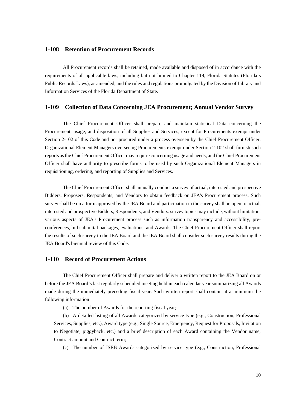#### <span id="page-13-0"></span>**1-108 Retention of Procurement Records**

All Procurement records shall be retained, made available and disposed of in accordance with the requirements of all applicable laws, including but not limited to Chapter 119, Florida Statutes (Florida's Public Records Laws), as amended, and the rules and regulations promulgated by the Division of Library and Information Services of the Florida Department of State.

#### <span id="page-13-1"></span>**1-109 Collection of Data Concerning JEA Procurement; Annual Vendor Survey**

The Chief Procurement Officer shall prepare and maintain statistical Data concerning the Procurement, usage, and disposition of all Supplies and Services, except for Procurements exempt under Section 2-102 of this Code and not procured under a process overseen by the Chief Procurement Officer. Organizational Element Managers overseeing Procurements exempt under Section 2-102 shall furnish such reports as the Chief Procurement Officer may require concerning usage and needs, and the Chief Procurement Officer shall have authority to prescribe forms to be used by such Organizational Element Managers in requisitioning, ordering, and reporting of Supplies and Services.

The Chief Procurement Officer shall annually conduct a survey of actual, interested and prospective Bidders, Proposers, Respondents, and Vendors to obtain feedback on JEA's Procurement process. Such survey shall be on a form approved by the JEA Board and participation in the survey shall be open to actual, interested and prospective Bidders, Respondents, and Vendors. survey topics may include, without limitation, various aspects of JEA's Procurement process such as information transparency and accessibility, preconferences, bid submittal packages, evaluations, and Awards. The Chief Procurement Officer shall report the results of such survey to the JEA Board and the JEA Board shall consider such survey results during the JEA Board's biennial review of this Code.

#### <span id="page-13-2"></span>**1-110 Record of Procurement Actions**

The Chief Procurement Officer shall prepare and deliver a written report to the JEA Board on or before the JEA Board's last regularly scheduled meeting held in each calendar year summarizing all Awards made during the immediately preceding fiscal year. Such written report shall contain at a minimum the following information:

(a) The number of Awards for the reporting fiscal year;

(b) A detailed listing of all Awards categorized by service type (e.g., Construction, Professional Services, Supplies, etc.), Award type (e.g., Single Source, Emergency, Request for Proposals, Invitation to Negotiate, piggyback, etc.) and a brief description of each Award containing the Vendor name, Contract amount and Contract term;

(c) The number of JSEB Awards categorized by service type (e.g., Construction, Professional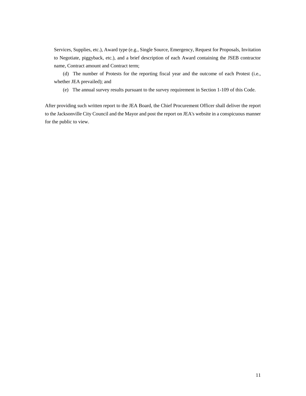Services, Supplies, etc.), Award type (e.g., Single Source, Emergency, Request for Proposals, Invitation to Negotiate, piggyback, etc.), and a brief description of each Award containing the JSEB contractor name, Contract amount and Contract term;

(d) The number of Protests for the reporting fiscal year and the outcome of each Protest (i.e., whether JEA prevailed); and

(e) The annual survey results pursuant to the survey requirement in Section 1-109 of this Code.

After providing such written report to the JEA Board, the Chief Procurement Officer shall deliver the report to the Jacksonville City Council and the Mayor and post the report on JEA's website in a conspicuous manner for the public to view.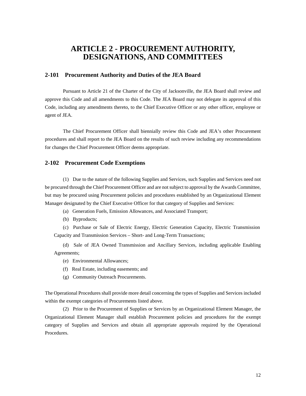# <span id="page-15-0"></span>**ARTICLE 2 - PROCUREMENT AUTHORITY, DESIGNATIONS, AND COMMITTEES**

#### <span id="page-15-1"></span>**2-101 Procurement Authority and Duties of the JEA Board**

Pursuant to Article 21 of the Charter of the City of Jacksonville, the JEA Board shall review and approve this Code and all amendments to this Code. The JEA Board may not delegate its approval of this Code, including any amendments thereto, to the Chief Executive Officer or any other officer, employee or agent of JEA.

The Chief Procurement Officer shall biennially review this Code and JEA's other Procurement procedures and shall report to the JEA Board on the results of such review including any recommendations for changes the Chief Procurement Officer deems appropriate.

#### <span id="page-15-2"></span>**2-102 Procurement Code Exemptions**

(1) Due to the nature of the following Supplies and Services, such Supplies and Services need not be procured through the Chief Procurement Officer and are not subject to approval by the Awards Committee, but may be procured using Procurement policies and procedures established by an Organizational Element Manager designated by the Chief Executive Officer for that category of Supplies and Services:

- (a) Generation Fuels, Emission Allowances, and Associated Transport;
- (b) Byproducts;

(c) Purchase or Sale of Electric Energy, Electric Generation Capacity, Electric Transmission Capacity and Transmission Services – Short- and Long-Term Transactions;

(d) Sale of JEA Owned Transmission and Ancillary Services, including applicable Enabling Agreements;

- (e) Environmental Allowances;
- (f) Real Estate, including easements; and
- (g) Community Outreach Procurements.

The Operational Procedures shall provide more detail concerning the types of Supplies and Services included within the exempt categories of Procurements listed above.

(2) Prior to the Procurement of Supplies or Services by an Organizational Element Manager, the Organizational Element Manager shall establish Procurement policies and procedures for the exempt category of Supplies and Services and obtain all appropriate approvals required by the Operational Procedures.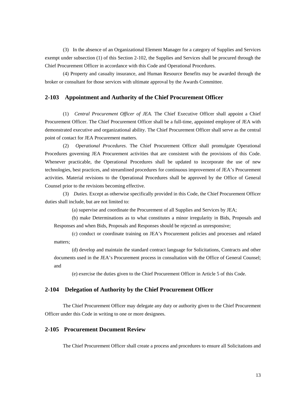(3) In the absence of an Organizational Element Manager for a category of Supplies and Services exempt under subsection (1) of this Section 2-102, the Supplies and Services shall be procured through the Chief Procurement Officer in accordance with this Code and Operational Procedures.

(4) Property and casualty insurance, and Human Resource Benefits may be awarded through the broker or consultant for those services with ultimate approval by the Awards Committee.

#### <span id="page-16-0"></span>**2-103 Appointment and Authority of the Chief Procurement Officer**

(1) *Central Procurement Officer of JEA.* The Chief Executive Officer shall appoint a Chief Procurement Officer. The Chief Procurement Officer shall be a full-time, appointed employee of JEA with demonstrated executive and organizational ability. The Chief Procurement Officer shall serve as the central point of contact for JEA Procurement matters.

(2) *Operational Procedures*. The Chief Procurement Officer shall promulgate Operational Procedures governing JEA Procurement activities that are consistent with the provisions of this Code. Whenever practicable, the Operational Procedures shall be updated to incorporate the use of new technologies, best practices, and streamlined procedures for continuous improvement of JEA's Procurement activities. Material revisions to the Operational Procedures shall be approved by the Office of General Counsel prior to the revisions becoming effective.

(3) *Duties.* Except as otherwise specifically provided in this Code, the Chief Procurement Officer duties shall include, but are not limited to:

(a) supervise and coordinate the Procurement of all Supplies and Services by JEA;

(b) make Determinations as to what constitutes a minor irregularity in Bids, Proposals and Responses and when Bids, Proposals and Responses should be rejected as unresponsive;

(c) conduct or coordinate training on JEA's Procurement policies and processes and related matters;

(d) develop and maintain the standard contract language for Solicitations, Contracts and other documents used in the JEA's Procurement process in consultation with the Office of General Counsel; and

(e) exercise the duties given to the Chief Procurement Officer in Article 5 of this Code.

#### <span id="page-16-1"></span>**2-104 Delegation of Authority by the Chief Procurement Officer**

The Chief Procurement Officer may delegate any duty or authority given to the Chief Procurement Officer under this Code in writing to one or more designees.

#### <span id="page-16-2"></span>**2-105 Procurement Document Review**

The Chief Procurement Officer shall create a process and procedures to ensure all Solicitations and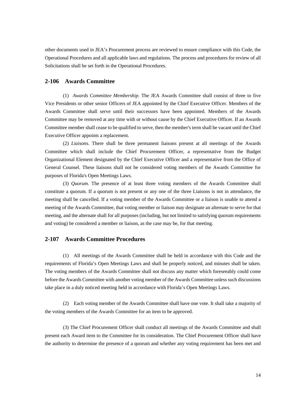other documents used in JEA's Procurement process are reviewed to ensure compliance with this Code, the Operational Procedures and all applicable laws and regulations. The process and procedures for review of all Solicitations shall be set forth in the Operational Procedures.

#### <span id="page-17-0"></span>**2-106 Awards Committee**

(1) *Awards Committee Membership*. The JEA Awards Committee shall consist of three to five Vice Presidents or other senior Officers of JEA appointed by the Chief Executive Officer. Members of the Awards Committee shall serve until their successors have been appointed. Members of the Awards Committee may be removed at any time with or without cause by the Chief Executive Officer. If an Awards Committee member shall cease to be qualified to serve, then the member's term shall be vacant until the Chief Executive Officer appoints a replacement.

(2) *Liaisons*. There shall be three permanent liaisons present at all meetings of the Awards Committee which shall include the Chief Procurement Officer, a representative from the Budget Organizational Element designated by the Chief Executive Officer and a representative from the Office of General Counsel. These liaisons shall not be considered voting members of the Awards Committee for purposes of Florida's Open Meetings Laws.

(3) *Quorum*. The presence of at least three voting members of the Awards Committee shall constitute a quorum. If a quorum is not present or any one of the three Liaisons is not in attendance, the meeting shall be cancelled. If a voting member of the Awards Committee or a liaison is unable to attend a meeting of the Awards Committee, that voting member or liaison may designate an alternate to serve for that meeting, and the alternate shall for all purposes (including, but not limited to satisfying quorum requirements and voting) be considered a member or liaison, as the case may be, for that meeting.

#### <span id="page-17-1"></span>**2-107 Awards Committee Procedures**

(1) All meetings of the Awards Committee shall be held in accordance with this Code and the requirements of Florida's Open Meetings Laws and shall be properly noticed, and minutes shall be taken. The voting members of the Awards Committee shall not discuss any matter which foreseeably could come before the Awards Committee with another voting member of the Awards Committee unless such discussions take place in a duly noticed meeting held in accordance with Florida's Open Meetings Laws.

(2) Each voting member of the Awards Committee shall have one vote. It shall take a majority of the voting members of the Awards Committee for an item to be approved.

(3) The Chief Procurement Officer shall conduct all meetings of the Awards Committee and shall present each Award item to the Committee for its consideration. The Chief Procurement Officer shall have the authority to determine the presence of a quorum and whether any voting requirement has been met and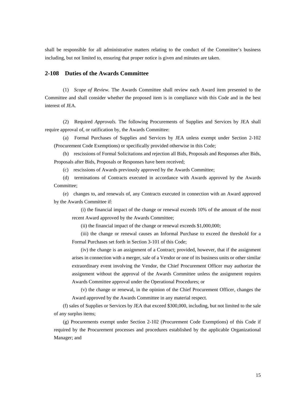shall be responsible for all administrative matters relating to the conduct of the Committee's business including, but not limited to, ensuring that proper notice is given and minutes are taken.

#### <span id="page-18-0"></span>**2-108 Duties of the Awards Committee**

(1) *Scope of Review.* The Awards Committee shall review each Award item presented to the Committee and shall consider whether the proposed item is in compliance with this Code and in the best interest of JEA.

(2) Required *Approvals.* The following Procurements of Supplies and Services by JEA shall require approval of, or ratification by, the Awards Committee:

(a) Formal Purchases of Supplies and Services by JEA unless exempt under Section 2-102 (Procurement Code Exemptions) or specifically provided otherwise in this Code;

(b) rescissions of Formal Solicitations and rejection all Bids, Proposals and Responses after Bids, Proposals after Bids, Proposals or Responses have been received;

(c) rescissions of Awards previously approved by the Awards Committee;

(d) terminations of Contracts executed in accordance with Awards approved by the Awards Committee;

(e) changes to, and renewals of, any Contracts executed in connection with an Award approved by the Awards Committee if:

(i) the financial impact of the change or renewal exceeds 10% of the amount of the most recent Award approved by the Awards Committee;

(ii) the financial impact of the change or renewal exceeds \$1,000,000;

(iii) the change or renewal causes an Informal Purchase to exceed the threshold for a Formal Purchases set forth in Section 3-101 of this Code;

(iv) the change is an assignment of a Contract; provided, however, that if the assignment arises in connection with a merger, sale of a Vendor or one of its business units or other similar extraordinary event involving the Vendor, the Chief Procurement Officer may authorize the assignment without the approval of the Awards Committee unless the assignment requires Awards Committee approval under the Operational Procedures; or

(v) the change or renewal, in the opinion of the Chief Procurement Officer, changes the Award approved by the Awards Committee in any material respect.

(f) sales of Supplies or Services by JEA that exceed \$300,000, including, but not limited to the sale of any surplus items;

(g) Procurements exempt under Section 2-102 (Procurement Code Exemptions) of this Code if required by the Procurement processes and procedures established by the applicable Organizational Manager; and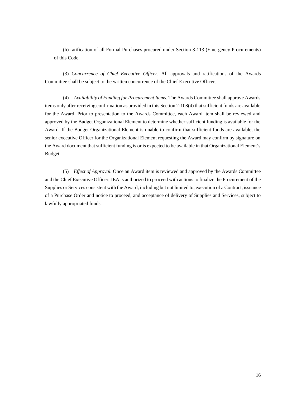(h) ratification of all Formal Purchases procured under Section 3-113 (Emergency Procurements) of this Code.

(3) *Concurrence of Chief Executive Officer*. All approvals and ratifications of the Awards Committee shall be subject to the written concurrence of the Chief Executive Officer.

(4) *Availability of Funding for Procurement Items*. The Awards Committee shall approve Awards items only after receiving confirmation as provided in this Section 2-108(4) that sufficient funds are available for the Award. Prior to presentation to the Awards Committee, each Award item shall be reviewed and approved by the Budget Organizational Element to determine whether sufficient funding is available for the Award. If the Budget Organizational Element is unable to confirm that sufficient funds are available, the senior executive Officer for the Organizational Element requesting the Award may confirm by signature on the Award document that sufficient funding is or is expected to be available in that Organizational Element's Budget.

(5) *Effect of Approval.* Once an Award item is reviewed and approved by the Awards Committee and the Chief Executive Officer, JEA is authorized to proceed with actions to finalize the Procurement of the Supplies or Services consistent with the Award, including but not limited to, execution of a Contract, issuance of a Purchase Order and notice to proceed, and acceptance of delivery of Supplies and Services, subject to lawfully appropriated funds.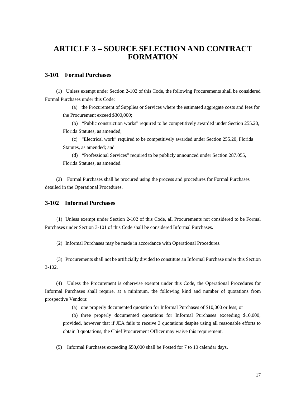# <span id="page-20-0"></span>**ARTICLE 3 – SOURCE SELECTION AND CONTRACT FORMATION**

#### <span id="page-20-1"></span>**3-101 Formal Purchases**

(1) Unless exempt under Section 2-102 of this Code, the following Procurements shall be considered Formal Purchases under this Code:

(a) the Procurement of Supplies or Services where the estimated aggregate costs and fees for the Procurement exceed \$300,000;

(b) "Public construction works" required to be competitively awarded under Section 255.20, Florida Statutes, as amended;

(c) "Electrical work" required to be competitively awarded under Section 255.20, Florida Statutes, as amended; and

(d) "Professional Services" required to be publicly announced under Section 287.055, Florida Statutes, as amended.

(2) Formal Purchases shall be procured using the process and procedures for Formal Purchases detailed in the Operational Procedures.

#### <span id="page-20-2"></span>**3-102 Informal Purchases**

(1) Unless exempt under Section 2-102 of this Code, all Procurements not considered to be Formal Purchases under Section 3-101 of this Code shall be considered Informal Purchases.

(2) Informal Purchases may be made in accordance with Operational Procedures.

(3) Procurements shall not be artificially divided to constitute an Informal Purchase under this Section 3-102.

(4) Unless the Procurement is otherwise exempt under this Code, the Operational Procedures for Informal Purchases shall require, at a minimum, the following kind and number of quotations from prospective Vendors:

(a) one properly documented quotation for Informal Purchases of \$10,000 or less; or

(b) three properly documented quotations for Informal Purchases exceeding \$10,000; provided, however that if JEA fails to receive 3 quotations despite using all reasonable efforts to obtain 3 quotations, the Chief Procurement Officer may waive this requirement.

(5) Informal Purchases exceeding \$50,000 shall be Posted for 7 to 10 calendar days.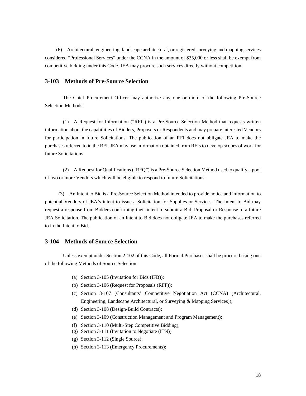(6) Architectural, engineering, landscape architectural, or registered surveying and mapping services considered "Professional Services" under the CCNA in the amount of \$35,000 or less shall be exempt from competitive bidding under this Code. JEA may procure such services directly without competition.

#### <span id="page-21-0"></span>**3-103 Methods of Pre-Source Selection**

The Chief Procurement Officer may authorize any one or more of the following Pre-Source Selection Methods:

(1) A Request for Information ("RFI") is a Pre-Source Selection Method that requests written information about the capabilities of Bidders, Proposers or Respondents and may prepare interested Vendors for participation in future Solicitations. The publication of an RFI does not obligate JEA to make the purchases referred to in the RFI. JEA may use information obtained from RFIs to develop scopes of work for future Solicitations.

(2) A Request for Qualifications ("RFQ") is a Pre-Source Selection Method used to qualify a pool of two or more Vendors which will be eligible to respond to future Solicitations.

(3)An Intent to Bid is a Pre-Source Selection Method intended to provide notice and information to potential Vendors of JEA's intent to issue a Solicitation for Supplies or Services. The Intent to Bid may request a response from Bidders confirming their intent to submit a Bid, Proposal or Response to a future JEA Solicitation. The publication of an Intent to Bid does not obligate JEA to make the purchases referred to in the Intent to Bid.

#### <span id="page-21-1"></span>**3-104 Methods of Source Selection**

Unless exempt under Section 2-102 of this Code, all Formal Purchases shall be procured using one of the following Methods of Source Selection:

- (a) Section 3-105 (Invitation for Bids (IFB));
- (b) Section 3-106 (Request for Proposals (RFP));
- (c) Section 3-107 (Consultants' Competitive Negotiation Act (CCNA) (Architectural, Engineering, Landscape Architectural, or Surveying & Mapping Services));
- (d) Section 3-108 (Design-Build Contracts);
- (e) Section 3-109 (Construction Management and Program Management);
- (f) Section 3-110 (Multi-Step Competitive Bidding);
- (g) Section 3-111 (Invitation to Negotiate (ITN))
- (g) Section 3-112 (Single Source);
- (h) Section 3-113 (Emergency Procurements);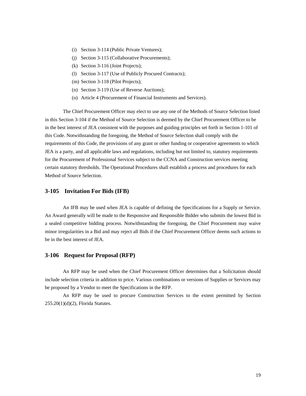- (i) Section 3-114 (Public Private Ventures);
- (j) Section 3-115 (Collaborative Procurements);
- (k) Section 3-116 (Joint Projects);
- (l) Section 3-117 (Use of Publicly Procured Contracts);
- (m) Section 3-118 (Pilot Projects);
- (n) Section 3-119 (Use of Reverse Auctions);
- (o) Article 4 (Procurement of Financial Instruments and Services).

The Chief Procurement Officer may elect to use any one of the Methods of Source Selection listed in this Section 3-104 if the Method of Source Selection is deemed by the Chief Procurement Officer to be in the best interest of JEA consistent with the purposes and guiding principles set forth in Section 1-101 of this Code. Notwithstanding the foregoing, the Method of Source Selection shall comply with the requirements of this Code, the provisions of any grant or other funding or cooperative agreements to which JEA is a party, and all applicable laws and regulations, including but not limited to, statutory requirements for the Procurement of Professional Services subject to the CCNA and Construction services meeting certain statutory thresholds. The Operational Procedures shall establish a process and procedures for each Method of Source Selection.

#### <span id="page-22-0"></span>**3-105 Invitation For Bids (IFB)**

An IFB may be used when JEA is capable of defining the Specifications for a Supply or Service. An Award generally will be made to the Responsive and Responsible Bidder who submits the lowest Bid in a sealed competitive bidding process. Notwithstanding the foregoing, the Chief Procurement may waive minor irregularities in a Bid and may reject all Bids if the Chief Procurement Officer deems such actions to be in the best interest of JEA.

#### <span id="page-22-1"></span>**3-106 Request for Proposal (RFP)**

An RFP may be used when the Chief Procurement Officer determines that a Solicitation should include selection criteria in addition to price. Various combinations or versions of Supplies or Services may be proposed by a Vendor to meet the Specifications in the RFP.

An RFP may be used to procure Construction Services to the extent permitted by Section 255.20(1)(d)(2), Florida Statutes.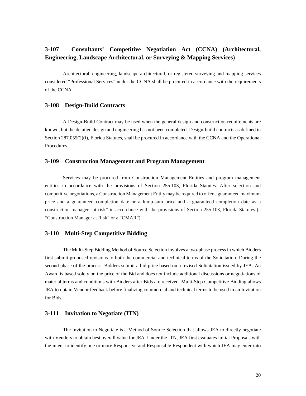## <span id="page-23-0"></span>**3-107 Consultants' Competitive Negotiation Act (CCNA) (Architectural, Engineering, Landscape Architectural, or Surveying & Mapping Services)**

Architectural, engineering, landscape architectural, or registered surveying and mapping services considered "Professional Services" under the CCNA shall be procured in accordance with the requirements of the CCNA.

#### <span id="page-23-1"></span>**3-108 Design-Build Contracts**

A Design-Build Contract may be used when the general design and construction requirements are known, but the detailed design and engineering has not been completed. Design-build contracts as defined in Section 287.055(2)(i), Florida Statutes, shall be procured in accordance with the CCNA and the Operational Procedures.

#### <span id="page-23-2"></span>**3-109 Construction Management and Program Management**

Services may be procured from Construction Management Entities and program management entities in accordance with the provisions of Section 255.103, Florida Statutes. After selection and competitive negotiations, a Construction Management Entity may be required to offer a guaranteed maximum price and a guaranteed completion date or a lump-sum price and a guaranteed completion date as a construction manager "at risk" in accordance with the provisions of Section 255.103, Florida Statutes (a "Construction Manager at Risk" or a "CMAR").

#### <span id="page-23-3"></span>**3-110 Multi-Step Competitive Bidding**

The Multi-Step Bidding Method of Source Selection involves a two-phase process in which Bidders first submit proposed revisions to both the commercial and technical terms of the Solicitation. During the second phase of the process, Bidders submit a bid price based on a revised Solicitation issued by JEA. An Award is based solely on the price of the Bid and does not include additional discussions or negotiations of material terms and conditions with Bidders after Bids are received. Multi-Step Competitive Bidding allows JEA to obtain Vendor feedback before finalizing commercial and technical terms to be used in an Invitation for Bids.

#### <span id="page-23-4"></span>**3-111 Invitation to Negotiate (ITN)**

The Invitation to Negotiate is a Method of Source Selection that allows JEA to directly negotiate with Vendors to obtain best overall value for JEA. Under the ITN, JEA first evaluates initial Proposals with the intent to identify one or more Responsive and Responsible Respondent with which JEA may enter into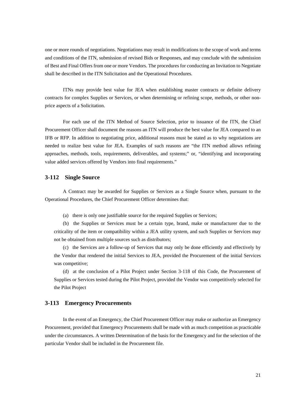one or more rounds of negotiations. Negotiations may result in modifications to the scope of work and terms and conditions of the ITN, submission of revised Bids or Responses, and may conclude with the submission of Best and Final Offers from one or more Vendors. The procedures for conducting an Invitation to Negotiate shall be described in the ITN Solicitation and the Operational Procedures.

ITNs may provide best value for JEA when establishing master contracts or definite delivery contracts for complex Supplies or Services, or when determining or refining scope, methods, or other nonprice aspects of a Solicitation.

For each use of the ITN Method of Source Selection, prior to issuance of the ITN, the Chief Procurement Officer shall document the reasons an ITN will produce the best value for JEA compared to an IFB or RFP. In addition to negotiating price, additional reasons must be stated as to why negotiations are needed to realize best value for JEA. Examples of such reasons are "the ITN method allows refining approaches, methods, tools, requirements, deliverables, and systems;" or, "identifying and incorporating value added services offered by Vendors into final requirements."

#### <span id="page-24-0"></span>**3-112 Single Source**

A Contract may be awarded for Supplies or Services as a Single Source when, pursuant to the Operational Procedures, the Chief Procurement Officer determines that:

(a) there is only one justifiable source for the required Supplies or Services;

(b) the Supplies or Services must be a certain type, brand, make or manufacturer due to the criticality of the item or compatibility within a JEA utility system, and such Supplies or Services may not be obtained from multiple sources such as distributors;

(c) the Services are a follow-up of Services that may only be done efficiently and effectively by the Vendor that rendered the initial Services to JEA, provided the Procurement of the initial Services was competitive;

(d) at the conclusion of a Pilot Project under Section 3-118 of this Code, the Procurement of Supplies or Services tested during the Pilot Project, provided the Vendor was competitively selected for the Pilot Project

#### <span id="page-24-1"></span>**3-113 Emergency Procurements**

In the event of an Emergency, the Chief Procurement Officer may make or authorize an Emergency Procurement, provided that Emergency Procurements shall be made with as much competition as practicable under the circumstances. A written Determination of the basis for the Emergency and for the selection of the particular Vendor shall be included in the Procurement file.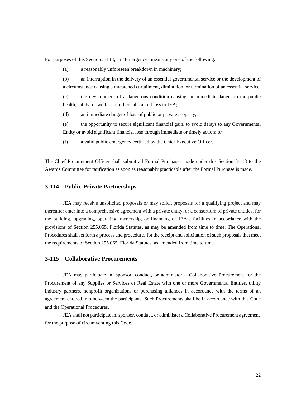For purposes of this Section 3-113, an "Emergency" means any one of the following:

(a) a reasonably unforeseen breakdown in machinery;

(b) an interruption in the delivery of an essential governmental service or the development of a circumstance causing a threatened curtailment, diminution, or termination of an essential service;

(c) the development of a dangerous condition causing an immediate danger to the public health, safety, or welfare or other substantial loss to JEA;

(d) an immediate danger of loss of public or private property;

(e) the opportunity to secure significant financial gain, to avoid delays to any Governmental Entity or avoid significant financial loss through immediate or timely action; or

(f) a valid public emergency certified by the Chief Executive Officer.

The Chief Procurement Officer shall submit all Formal Purchases made under this Section 3-113 to the Awards Committee for ratification as soon as reasonably practicable after the Formal Purchase is made.

#### <span id="page-25-0"></span>**3-114 Public-Private Partnerships**

JEA may receive unsolicited proposals or may solicit proposals for a qualifying project and may thereafter enter into a comprehensive agreement with a private entity, or a consortium of private entities, for the building, upgrading, operating, ownership, or financing of JEA's facilities in accordance with the provisions of Section 255.065, Florida Statutes, as may be amended from time to time. The Operational Procedures shall set forth a process and procedures for the receipt and solicitation of such proposals that meet the requirements of Section 255.065, Florida Statutes, as amended from time to time.

#### <span id="page-25-1"></span>**3-115 Collaborative Procurements**

JEA may participate in, sponsor, conduct, or administer a Collaborative Procurement for the Procurement of any Supplies or Services or Real Estate with one or more Governmental Entities, utility industry partners, nonprofit organizations or purchasing alliances in accordance with the terms of an agreement entered into between the participants. Such Procurements shall be in accordance with this Code and the Operational Procedures.

JEA shall not participate in, sponsor, conduct, or administer a Collaborative Procurement agreement for the purpose of circumventing this Code.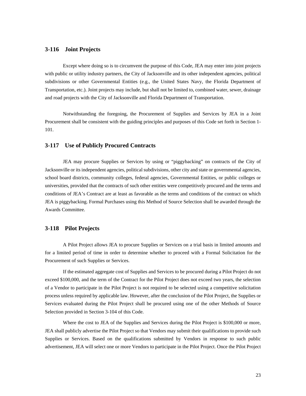#### <span id="page-26-0"></span>**3-116 Joint Projects**

Except where doing so is to circumvent the purpose of this Code, JEA may enter into joint projects with public or utility industry partners, the City of Jacksonville and its other independent agencies, political subdivisions or other Governmental Entities (e.g., the United States Navy, the Florida Department of Transportation, etc.). Joint projects may include, but shall not be limited to, combined water, sewer, drainage and road projects with the City of Jacksonville and Florida Department of Transportation.

Notwithstanding the foregoing, the Procurement of Supplies and Services by JEA in a Joint Procurement shall be consistent with the guiding principles and purposes of this Code set forth in Section 1- 101.

#### <span id="page-26-1"></span>**3-117 Use of Publicly Procured Contracts**

JEA may procure Supplies or Services by using or "piggybacking" on contracts of the City of Jacksonville or its independent agencies, political subdivisions, other city and state or governmental agencies, school board districts, community colleges, federal agencies, Governmental Entities, or public colleges or universities, provided that the contracts of such other entities were competitively procured and the terms and conditions of JEA's Contract are at least as favorable as the terms and conditions of the contract on which JEA is piggybacking. Formal Purchases using this Method of Source Selection shall be awarded through the Awards Committee.

#### <span id="page-26-2"></span>**3-118 Pilot Projects**

A Pilot Project allows JEA to procure Supplies or Services on a trial basis in limited amounts and for a limited period of time in order to determine whether to proceed with a Formal Solicitation for the Procurement of such Supplies or Services.

If the estimated aggregate cost of Supplies and Services to be procured during a Pilot Project do not exceed \$100,000, and the term of the Contract for the Pilot Project does not exceed two years, the selection of a Vendor to participate in the Pilot Project is not required to be selected using a competitive solicitation process unless required by applicable law. However, after the conclusion of the Pilot Project, the Supplies or Services evaluated during the Pilot Project shall be procured using one of the other Methods of Source Selection provided in Section 3-104 of this Code.

Where the cost to JEA of the Supplies and Services during the Pilot Project is \$100,000 or more, JEA shall publicly advertise the Pilot Project so that Vendors may submit their qualifications to provide such Supplies or Services. Based on the qualifications submitted by Vendors in response to such public advertisement, JEA will select one or more Vendors to participate in the Pilot Project. Once the Pilot Project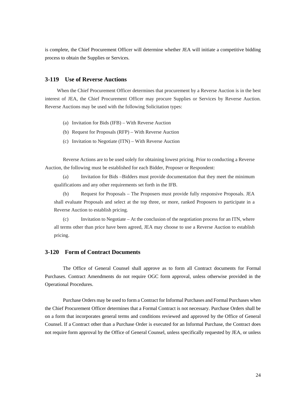is complete, the Chief Procurement Officer will determine whether JEA will initiate a competitive bidding process to obtain the Supplies or Services.

#### <span id="page-27-0"></span>**3-119 Use of Reverse Auctions**

When the Chief Procurement Officer determines that procurement by a Reverse Auction is in the best interest of JEA, the Chief Procurement Officer may procure Supplies or Services by Reverse Auction. Reverse Auctions may be used with the following Solicitation types:

- (a) Invitation for Bids (IFB) With Reverse Auction
- (b) Request for Proposals (RFP) With Reverse Auction
- (c) Invitation to Negotiate (ITN) With Reverse Auction

Reverse Actions are to be used solely for obtaining lowest pricing. Prior to conducting a Reverse Auction, the following must be established for each Bidder, Proposer or Respondent:

(a) Invitation for Bids –Bidders must provide documentation that they meet the minimum qualifications and any other requirements set forth in the IFB.

(b) Request for Proposals – The Proposers must provide fully responsive Proposals. JEA shall evaluate Proposals and select at the top three, or more, ranked Proposers to participate in a Reverse Auction to establish pricing.

(c) Invitation to Negotiate – At the conclusion of the negotiation process for an ITN, where all terms other than price have been agreed, JEA may choose to use a Reverse Auction to establish pricing.

#### <span id="page-27-1"></span>**3-120 Form of Contract Documents**

The Office of General Counsel shall approve as to form all Contract documents for Formal Purchases. Contract Amendments do not require OGC form approval, unless otherwise provided in the Operational Procedures.

Purchase Orders may be used to form a Contract for Informal Purchases and Formal Purchases when the Chief Procurement Officer determines that a Formal Contract is not necessary. Purchase Orders shall be on a form that incorporates general terms and conditions reviewed and approved by the Office of General Counsel. If a Contract other than a Purchase Order is executed for an Informal Purchase, the Contract does not require form approval by the Office of General Counsel, unless specifically requested by JEA, or unless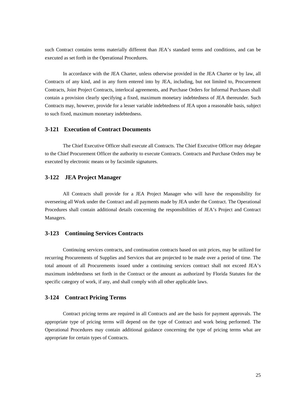such Contract contains terms materially different than JEA's standard terms and conditions, and can be executed as set forth in the Operational Procedures.

In accordance with the JEA Charter, unless otherwise provided in the JEA Charter or by law, all Contracts of any kind, and in any form entered into by JEA, including, but not limited to, Procurement Contracts, Joint Project Contracts, interlocal agreements, and Purchase Orders for Informal Purchases shall contain a provision clearly specifying a fixed, maximum monetary indebtedness of JEA thereunder. Such Contracts may, however, provide for a lesser variable indebtedness of JEA upon a reasonable basis, subject to such fixed, maximum monetary indebtedness.

#### <span id="page-28-0"></span>**3-121 Execution of Contract Documents**

The Chief Executive Officer shall execute all Contracts. The Chief Executive Officer may delegate to the Chief Procurement Officer the authority to execute Contracts. Contracts and Purchase Orders may be executed by electronic means or by facsimile signatures.

#### <span id="page-28-1"></span>**3-122 JEA Project Manager**

All Contracts shall provide for a JEA Project Manager who will have the responsibility for overseeing all Work under the Contract and all payments made by JEA under the Contract. The Operational Procedures shall contain additional details concerning the responsibilities of JEA's Project and Contract Managers.

#### <span id="page-28-2"></span>**3-123 Continuing Services Contracts**

Continuing services contracts, and continuation contracts based on unit prices, may be utilized for recurring Procurements of Supplies and Services that are projected to be made over a period of time. The total amount of all Procurements issued under a continuing services contract shall not exceed JEA's maximum indebtedness set forth in the Contract or the amount as authorized by Florida Statutes for the specific category of work, if any, and shall comply with all other applicable laws.

#### <span id="page-28-3"></span>**3-124 Contract Pricing Terms**

Contract pricing terms are required in all Contracts and are the basis for payment approvals. The appropriate type of pricing terms will depend on the type of Contract and work being performed. The Operational Procedures may contain additional guidance concerning the type of pricing terms what are appropriate for certain types of Contracts.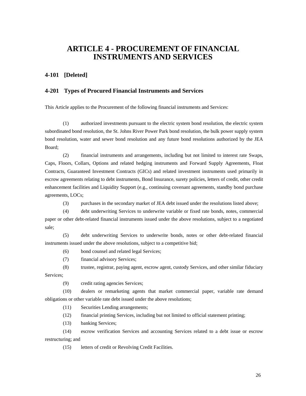# <span id="page-29-0"></span>**ARTICLE 4 - PROCUREMENT OF FINANCIAL INSTRUMENTS AND SERVICES**

#### <span id="page-29-1"></span>**4-101 [Deleted]**

#### <span id="page-29-2"></span>**4-201 Types of Procured Financial Instruments and Services**

This Article applies to the Procurement of the following financial instruments and Services:

(1) authorized investments pursuant to the electric system bond resolution, the electric system subordinated bond resolution, the St. Johns River Power Park bond resolution, the bulk power supply system bond resolution, water and sewer bond resolution and any future bond resolutions authorized by the JEA Board;

(2) financial instruments and arrangements, including but not limited to interest rate Swaps, Caps, Floors, Collars, Options and related hedging instruments and Forward Supply Agreements, Float Contracts, Guaranteed Investment Contracts (GICs) and related investment instruments used primarily in escrow agreements relating to debt instruments, Bond Insurance, surety policies, letters of credit, other credit enhancement facilities and Liquidity Support (e.g., continuing covenant agreements, standby bond purchase agreements, LOCs;

(3) purchases in the secondary market of JEA debt issued under the resolutions listed above;

(4) debt underwriting Services to underwrite variable or fixed rate bonds, notes, commercial paper or other debt-related financial instruments issued under the above resolutions, subject to a negotiated sale;

(5) debt underwriting Services to underwrite bonds, notes or other debt-related financial instruments issued under the above resolutions, subject to a competitive bid;

(6) bond counsel and related legal Services;

(7) financial advisory Services;

(8) trustee, registrar, paying agent, escrow agent, custody Services, and other similar fiduciary Services;

(9) credit rating agencies Services;

(10) dealers or remarketing agents that market commercial paper, variable rate demand obligations or other variable rate debt issued under the above resolutions;

(11) Securities Lending arrangements;

(12) financial printing Services, including but not limited to official statement printing;

(13) banking Services;

(14) escrow verification Services and accounting Services related to a debt issue or escrow restructuring; and

(15) letters of credit or Revolving Credit Facilities.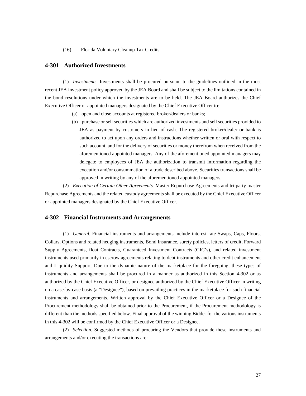(16) Florida Voluntary Cleanup Tax Credits

#### <span id="page-30-0"></span>**4-301 Authorized Investments**

(1) *Investments*. Investments shall be procured pursuant to the guidelines outlined in the most recent JEA investment policy approved by the JEA Board and shall be subject to the limitations contained in the bond resolutions under which the investments are to be held. The JEA Board authorizes the Chief Executive Officer or appointed managers designated by the Chief Executive Officer to:

- (a) open and close accounts at registered broker/dealers or banks;
- (b) purchase or sell securities which are authorized investments and sell securities provided to JEA as payment by customers in lieu of cash. The registered broker/dealer or bank is authorized to act upon any orders and instructions whether written or oral with respect to such account, and for the delivery of securities or money therefrom when received from the aforementioned appointed managers. Any of the aforementioned appointed managers may delegate to employees of JEA the authorization to transmit information regarding the execution and/or consummation of a trade described above. Securities transactions shall be approved in writing by any of the aforementioned appointed managers.

(2) *Execution of Certain Other Agreements.* Master Repurchase Agreements and tri-party master Repurchase Agreements and the related custody agreements shall be executed by the Chief Executive Officer or appointed managers designated by the Chief Executive Officer.

#### <span id="page-30-1"></span>**4-302 Financial Instruments and Arrangements**

(1) *General.* Financial instruments and arrangements include interest rate Swaps, Caps, Floors, Collars, Options and related hedging instruments, Bond Insurance, surety policies, letters of credit, Forward Supply Agreements, float Contracts, Guaranteed Investment Contracts (GIC's), and related investment instruments used primarily in escrow agreements relating to debt instruments and other credit enhancement and Liquidity Support. Due to the dynamic nature of the marketplace for the foregoing, these types of instruments and arrangements shall be procured in a manner as authorized in this Section 4-302 or as authorized by the Chief Executive Officer, or designee authorized by the Chief Executive Officer in writing on a case-by-case basis (a "Designee"), based on prevailing practices in the marketplace for such financial instruments and arrangements. Written approval by the Chief Executive Officer or a Designee of the Procurement methodology shall be obtained prior to the Procurement, if the Procurement methodology is different than the methods specified below. Final approval of the winning Bidder for the various instruments in this 4-302 will be confirmed by the Chief Executive Officer or a Designee.

(2) *Selection.* Suggested methods of procuring the Vendors that provide these instruments and arrangements and/or executing the transactions are: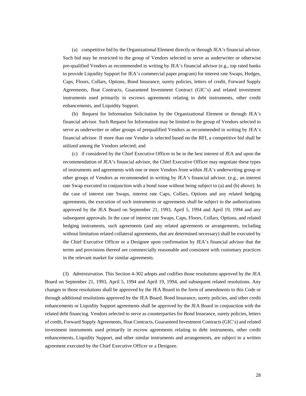(a) competitive bid by the Organizational Element directly or through JEA's financial advisor. Such bid may be restricted to the group of Vendors selected to serve as underwriter or otherwise pre-qualified Vendors as recommended in writing by JEA's financial advisor (e.g., top rated banks to provide Liquidity Support for JEA's commercial paper program) for interest rate Swaps, Hedges, Caps, Floors, Collars, Options, Bond Insurance, surety policies, letters of credit, Forward Supply Agreements, float Contracts, Guaranteed Investment Contract (GIC's) and related investment instruments used primarily in escrows agreements relating to debt instruments, other credit enhancements, and Liquidity Support.

(b) Request for Information Solicitation by the Organizational Element or through JEA's financial advisor. Such Request for Information may be limited to the group of Vendors selected to serve as underwriter or other groups of prequalified Vendors as recommended in writing by JEA's financial advisor. If more than one Vendor is selected based on the RFI, a competitive bid shall be utilized among the Vendors selected; and

(c) if considered by the Chief Executive Officer to be in the best interest of JEA and upon the recommendation of JEA's financial advisor, the Chief Executive Officer may negotiate these types of instruments and agreements with one or more Vendors from within JEA's underwriting group or other groups of Vendors as recommended in writing by JEA's financial advisor. (e.g., an interest rate Swap executed in conjunction with a bond issue without being subject to (a) and (b) above). In the case of interest rate Swaps, interest rate Caps, Collars, Options and any related hedging agreements, the execution of such instruments or agreements shall be subject to the authorizations approved by the JEA Board on September 21, 1993, April 5, 1994 and April 19, 1994 and any subsequent approvals. In the case of interest rate Swaps, Caps, Floors, Collars, Options, and related hedging instruments, such agreements (and any related agreements or arrangements, including without limitation related collateral agreements, that are determined necessary) shall be executed by the Chief Executive Officer or a Designee upon confirmation by JEA's financial advisor that the terms and provisions thereof are commercially reasonable and consistent with customary practices in the relevant market for similar agreements.

(3) *Administration*. This Section 4-302 adopts and codifies those resolutions approved by the JEA Board on September 21, 1993, April 5, 1994 and April 19, 1994, and subsequent related resolutions. Any changes to those resolutions shall be approved by the JEA Board in the form of amendments to this Code or through additional resolutions approved by the JEA Board. Bond Insurance, surety policies, and other credit enhancements or Liquidity Support agreements shall be approved by the JEA Board in conjunction with the related debt financing. Vendors selected to serve as counterparties for Bond Insurance, surety policies, letters of credit, Forward Supply Agreements, float Contracts, Guaranteed Investment Contracts (GIC's) and related investment instruments used primarily in escrow agreements relating to debt instruments, other credit enhancements, Liquidity Support, and other similar instruments and arrangements, are subject to a written agreement executed by the Chief Executive Officer or a Designee.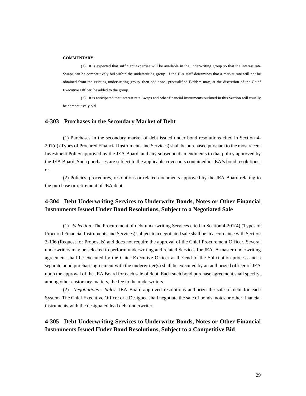#### **COMMENTARY:**

(1) It is expected that sufficient expertise will be available in the underwriting group so that the interest rate Swaps can be competitively bid within the underwriting group. If the JEA staff determines that a market rate will not be obtained from the existing underwriting group, then additional prequalified Bidders may, at the discretion of the Chief Executive Officer, be added to the group.

(2) It is anticipated that interest rate Swaps and other financial instruments outlined in this Section will usually be competitively bid.

#### <span id="page-32-0"></span>**4-303 Purchases in the Secondary Market of Debt**

(1) Purchases in the secondary market of debt issued under bond resolutions cited in Section 4- 201(d) (Types of Procured Financial Instruments and Services) shall be purchased pursuant to the most recent Investment Policy approved by the JEA Board, and any subsequent amendments to that policy approved by the JEA Board. Such purchases are subject to the applicable covenants contained in JEA's bond resolutions; or

(2) Policies, procedures, resolutions or related documents approved by the JEA Board relating to the purchase or retirement of JEA debt.

## <span id="page-32-1"></span>**4-304 Debt Underwriting Services to Underwrite Bonds, Notes or Other Financial Instruments Issued Under Bond Resolutions, Subject to a Negotiated Sale**

(1) *Selection*. The Procurement of debt underwriting Services cited in Section 4-201(4) (Types of Procured Financial Instruments and Services) subject to a negotiated sale shall be in accordance with Section 3-106 (Request for Proposals) and does not require the approval of the Chief Procurement Officer. Several underwriters may be selected to perform underwriting and related Services for JEA. A master underwriting agreement shall be executed by the Chief Executive Officer at the end of the Solicitation process and a separate bond purchase agreement with the underwriter(s) shall be executed by an authorized officer of JEA upon the approval of the JEA Board for each sale of debt. Each such bond purchase agreement shall specify, among other customary matters, the fee to the underwriters.

(2) *Negotiations - Sales*. JEA Board-approved resolutions authorize the sale of debt for each System. The Chief Executive Officer or a Designee shall negotiate the sale of bonds, notes or other financial instruments with the designated lead debt underwriter.

## <span id="page-32-2"></span>**4-305 Debt Underwriting Services to Underwrite Bonds, Notes or Other Financial Instruments Issued Under Bond Resolutions, Subject to a Competitive Bid**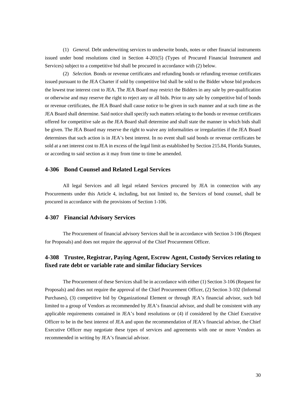(1) *General.* Debt underwriting services to underwrite bonds, notes or other financial instruments issued under bond resolutions cited in Section 4-201(5) (Types of Procured Financial Instrument and Services) subject to a competitive bid shall be procured in accordance with (2) below.

(2) *Selection.* Bonds or revenue certificates and refunding bonds or refunding revenue certificates issued pursuant to the JEA Charter if sold by competitive bid shall be sold to the Bidder whose bid produces the lowest true interest cost to JEA. The JEA Board may restrict the Bidders in any sale by pre-qualification or otherwise and may reserve the right to reject any or all bids. Prior to any sale by competitive bid of bonds or revenue certificates, the JEA Board shall cause notice to be given in such manner and at such time as the JEA Board shall determine. Said notice shall specify such matters relating to the bonds or revenue certificates offered for competitive sale as the JEA Board shall determine and shall state the manner in which bids shall be given. The JEA Board may reserve the right to waive any informalities or irregularities if the JEA Board determines that such action is in JEA's best interest. In no event shall said bonds or revenue certificates be sold at a net interest cost to JEA in excess of the legal limit as established by Section 215.84, Florida Statutes, or according to said section as it may from time to time be amended.

#### <span id="page-33-0"></span>**4-306 Bond Counsel and Related Legal Services**

All legal Services and all legal related Services procured by JEA in connection with any Procurements under this Article 4, including, but not limited to, the Services of bond counsel, shall be procured in accordance with the provisions of Section 1-106.

#### <span id="page-33-1"></span>**4-307 Financial Advisory Services**

The Procurement of financial advisory Services shall be in accordance with Section 3-106 (Request for Proposals) and does not require the approval of the Chief Procurement Officer.

## <span id="page-33-2"></span>**4-308 Trustee, Registrar, Paying Agent, Escrow Agent, Custody Services relating to fixed rate debt or variable rate and similar fiduciary Services**

The Procurement of these Services shall be in accordance with either (1) Section 3-106 (Request for Proposals) and does not require the approval of the Chief Procurement Officer, (2) Section 3-102 (Informal Purchases), (3) competitive bid by Organizational Element or through JEA's financial advisor, such bid limited to a group of Vendors as recommended by JEA's financial advisor, and shall be consistent with any applicable requirements contained in JEA's bond resolutions or (4) if considered by the Chief Executive Officer to be in the best interest of JEA and upon the recommendation of JEA's financial advisor, the Chief Executive Officer may negotiate these types of services and agreements with one or more Vendors as recommended in writing by JEA's financial advisor.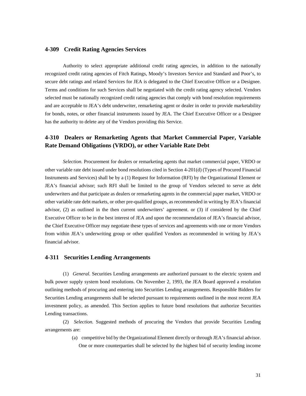#### <span id="page-34-0"></span>**4-309 Credit Rating Agencies Services**

Authority to select appropriate additional credit rating agencies, in addition to the nationally recognized credit rating agencies of Fitch Ratings, Moody's Investors Service and Standard and Poor's, to secure debt ratings and related Services for JEA is delegated to the Chief Executive Officer or a Designee. Terms and conditions for such Services shall be negotiated with the credit rating agency selected. Vendors selected must be nationally recognized credit rating agencies that comply with bond resolution requirements and are acceptable to JEA's debt underwriter, remarketing agent or dealer in order to provide marketability for bonds, notes, or other financial instruments issued by JEA. The Chief Executive Officer or a Designee has the authority to delete any of the Vendors providing this Service.

## <span id="page-34-1"></span>**4-310 Dealers or Remarketing Agents that Market Commercial Paper, Variable Rate Demand Obligations (VRDO), or other Variable Rate Debt**

*Selection.* Procurement for dealers or remarketing agents that market commercial paper, VRDO or other variable rate debt issued under bond resolutions cited in Section 4-201(d) (Types of Procured Financial Instruments and Services) shall be by a (1) Request for Information (RFI) by the Organizational Element or JEA's financial advisor; such RFI shall be limited to the group of Vendors selected to serve as debt underwriters and that participate as dealers or remarketing agents in the commercial paper market, VRDO or other variable rate debt markets, or other pre-qualified groups, as recommended in writing by JEA's financial advisor, (2) as outlined in the then current underwriters' agreement. or (3) if considered by the Chief Executive Officer to be in the best interest of JEA and upon the recommendation of JEA's financial advisor, the Chief Executive Officer may negotiate these types of services and agreements with one or more Vendors from within JEA's underwriting group or other qualified Vendors as recommended in writing by JEA's financial advisor.

#### <span id="page-34-2"></span>**4-311 Securities Lending Arrangements**

(1) *General.* Securities Lending arrangements are authorized pursuant to the electric system and bulk power supply system bond resolutions. On November 2, 1993, the JEA Board approved a resolution outlining methods of procuring and entering into Securities Lending arrangements. Responsible Bidders for Securities Lending arrangements shall be selected pursuant to requirements outlined in the most recent JEA investment policy, as amended. This Section applies to future bond resolutions that authorize Securities Lending transactions.

(2) *Selection.* Suggested methods of procuring the Vendors that provide Securities Lending arrangements are:

> (a) competitive bid by the Organizational Element directly or through JEA's financial advisor. One or more counterparties shall be selected by the highest bid of security lending income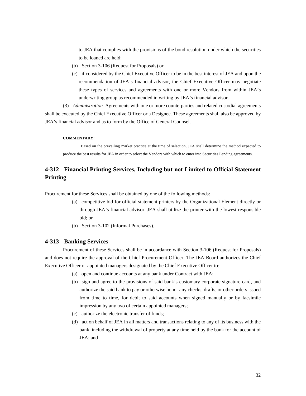to JEA that complies with the provisions of the bond resolution under which the securities to be loaned are held;

- (b) Section 3-106 (Request for Proposals) or
- (c) if considered by the Chief Executive Officer to be in the best interest of JEA and upon the recommendation of JEA's financial advisor, the Chief Executive Officer may negotiate these types of services and agreements with one or more Vendors from within JEA's underwriting group as recommended in writing by JEA's financial advisor.

(3) *Administration.* Agreements with one or more counterparties and related custodial agreements shall be executed by the Chief Executive Officer or a Designee. These agreements shall also be approved by JEA's financial advisor and as to form by the Office of General Counsel.

#### **COMMENTARY:**

Based on the prevailing market practice at the time of selection, JEA shall determine the method expected to produce the best results for JEA in order to select the Vendors with which to enter into Securities Lending agreements.

## <span id="page-35-0"></span>**4-312 Financial Printing Services, Including but not Limited to Official Statement Printing**

Procurement for these Services shall be obtained by one of the following methods:

- (a) competitive bid for official statement printers by the Organizational Element directly or through JEA's financial advisor. JEA shall utilize the printer with the lowest responsible bid; or
- (b) Section 3-102 (Informal Purchases).

#### <span id="page-35-1"></span>**4-313 Banking Services**

Procurement of these Services shall be in accordance with Section 3-106 (Request for Proposals) and does not require the approval of the Chief Procurement Officer. The JEA Board authorizes the Chief Executive Officer or appointed managers designated by the Chief Executive Officer to:

- (a) open and continue accounts at any bank under Contract with JEA;
- (b) sign and agree to the provisions of said bank's customary corporate signature card, and authorize the said bank to pay or otherwise honor any checks, drafts, or other orders issued from time to time, for debit to said accounts when signed manually or by facsimile impression by any two of certain appointed managers;
- (c) authorize the electronic transfer of funds;
- (d) act on behalf of JEA in all matters and transactions relating to any of its business with the bank, including the withdrawal of property at any time held by the bank for the account of JEA; and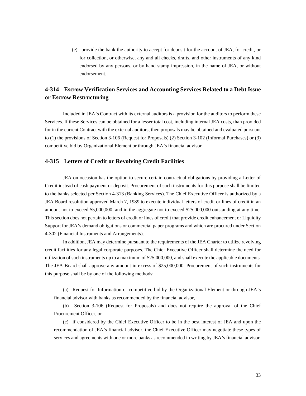(e) provide the bank the authority to accept for deposit for the account of JEA, for credit, or for collection, or otherwise, any and all checks, drafts, and other instruments of any kind endorsed by any persons, or by hand stamp impression, in the name of JEA, or without endorsement.

## <span id="page-36-0"></span>**4-314 Escrow Verification Services and Accounting Services Related to a Debt Issue or Escrow Restructuring**

Included in JEA's Contract with its external auditors is a provision for the auditors to perform these Services. If these Services can be obtained for a lesser total cost, including internal JEA costs, than provided for in the current Contract with the external auditors, then proposals may be obtained and evaluated pursuant to (1) the provisions of Section 3-106 (Request for Proposals) (2) Section 3-102 (Informal Purchases) or (3) competitive bid by Organizational Element or through JEA's financial advisor.

#### <span id="page-36-1"></span>**4-315 Letters of Credit or Revolving Credit Facilities**

JEA on occasion has the option to secure certain contractual obligations by providing a Letter of Credit instead of cash payment or deposit. Procurement of such instruments for this purpose shall be limited to the banks selected per Section 4-313 (Banking Services). The Chief Executive Officer is authorized by a JEA Board resolution approved March 7, 1989 to execute individual letters of credit or lines of credit in an amount not to exceed \$5,000,000, and in the aggregate not to exceed \$25,000,000 outstanding at any time. This section does not pertain to letters of credit or lines of credit that provide credit enhancement or Liquidity Support for JEA's demand obligations or commercial paper programs and which are procured under Section 4-302 (Financial Instruments and Arrangements).

In addition, JEA may determine pursuant to the requirements of the JEA Charter to utilize revolving credit facilities for any legal corporate purposes. The Chief Executive Officer shall determine the need for utilization of such instruments up to a maximum of \$25,000,000, and shall execute the applicable documents. The JEA Board shall approve any amount in excess of \$25,000,000. Procurement of such instruments for this purpose shall be by one of the following methods:

(a) Request for Information or competitive bid by the Organizational Element or through JEA's financial advisor with banks as recommended by the financial advisor,

(b) Section 3-106 (Request for Proposals) and does not require the approval of the Chief Procurement Officer, or

(c) if considered by the Chief Executive Officer to be in the best interest of JEA and upon the recommendation of JEA's financial advisor, the Chief Executive Officer may negotiate these types of services and agreements with one or more banks as recommended in writing by JEA's financial advisor.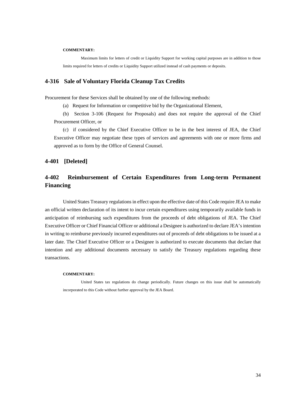#### **COMMENTARY:**

Maximum limits for letters of credit or Liquidity Support for working capital purposes are in addition to those limits required for letters of credits or Liquidity Support utilized instead of cash payments or deposits.

#### <span id="page-37-0"></span>**4-316 Sale of Voluntary Florida Cleanup Tax Credits**

Procurement for these Services shall be obtained by one of the following methods:

(a) Request for Information or competitive bid by the Organizational Element,

(b) Section 3-106 (Request for Proposals) and does not require the approval of the Chief Procurement Officer, or

(c) if considered by the Chief Executive Officer to be in the best interest of JEA, the Chief Executive Officer may negotiate these types of services and agreements with one or more firms and approved as to form by the Office of General Counsel.

#### <span id="page-37-1"></span>**4-401 [Deleted]**

## <span id="page-37-2"></span>**4-402 Reimbursement of Certain Expenditures from Long-term Permanent Financing**

United States Treasury regulations in effect upon the effective date of this Code require JEA to make an official written declaration of its intent to incur certain expenditures using temporarily available funds in anticipation of reimbursing such expenditures from the proceeds of debt obligations of JEA. The Chief Executive Officer or Chief Financial Officer or additional a Designee is authorized to declare JEA's intention in writing to reimburse previously incurred expenditures out of proceeds of debt obligations to be issued at a later date. The Chief Executive Officer or a Designee is authorized to execute documents that declare that intention and any additional documents necessary to satisfy the Treasury regulations regarding these transactions.

#### **COMMENTARY:**

United States tax regulations do change periodically. Future changes on this issue shall be automatically incorporated to this Code without further approval by the JEA Board.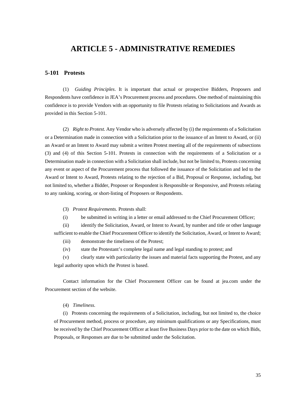# **ARTICLE 5 - ADMINISTRATIVE REMEDIES**

#### <span id="page-38-1"></span><span id="page-38-0"></span>**5-101 Protests**

(1) *Guiding Principles*. It is important that actual or prospective Bidders, Proposers and Respondents have confidence in JEA's Procurement process and procedures. One method of maintaining this confidence is to provide Vendors with an opportunity to file Protests relating to Solicitations and Awards as provided in this Section 5-101.

(2) *Right to Protest.* Any Vendor who is adversely affected by (i) the requirements of a Solicitation or a Determination made in connection with a Solicitation prior to the issuance of an Intent to Award, or (ii) an Award or an Intent to Award may submit a written Protest meeting all of the requirements of subsections (3) and (4) of this Section 5-101. Protests in connection with the requirements of a Solicitation or a Determination made in connection with a Solicitation shall include, but not be limited to, Protests concerning any event or aspect of the Procurement process that followed the issuance of the Solicitation and led to the Award or Intent to Award, Protests relating to the rejection of a Bid, Proposal or Response, including, but not limited to, whether a Bidder, Proposer or Respondent is Responsible or Responsive, and Protests relating to any ranking, scoring, or short-listing of Proposers or Respondents.

- (3) *Protest Requirements.* Protests shall:
- (i) be submitted in writing in a letter or email addressed to the Chief Procurement Officer;

(ii) identify the Solicitation, Award, or Intent to Award, by number and title or other language sufficient to enable the Chief Procurement Officer to identify the Solicitation, Award, or Intent to Award;

(iii) demonstrate the timeliness of the Protest;

(iv) state the Protestant's complete legal name and legal standing to protest; and

(v) clearly state with particularity the issues and material facts supporting the Protest, and any legal authority upon which the Protest is based.

Contact information for the Chief Procurement Officer can be found at jea.com under the Procurement section of the website.

(4) *Timeliness.*

(i) Protests concerning the requirements of a Solicitation, including, but not limited to, the choice of Procurement method, process or procedure, any minimum qualifications or any Specifications, must be received by the Chief Procurement Officer at least five Business Days prior to the date on which Bids, Proposals, or Responses are due to be submitted under the Solicitation.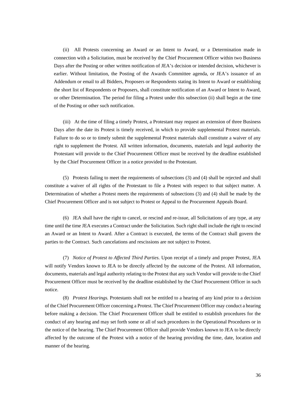(ii) All Protests concerning an Award or an Intent to Award, or a Determination made in connection with a Solicitation, must be received by the Chief Procurement Officer within two Business Days after the Posting or other written notification of JEA's decision or intended decision, whichever is earlier. Without limitation, the Posting of the Awards Committee agenda, or JEA's issuance of an Addendum or email to all Bidders, Proposers or Respondents stating its Intent to Award or establishing the short list of Respondents or Proposers, shall constitute notification of an Award or Intent to Award, or other Determination. The period for filing a Protest under this subsection (ii) shall begin at the time of the Posting or other such notification.

(iii) At the time of filing a timely Protest, a Protestant may request an extension of three Business Days after the date its Protest is timely received, in which to provide supplemental Protest materials. Failure to do so or to timely submit the supplemental Protest materials shall constitute a waiver of any right to supplement the Protest. All written information, documents, materials and legal authority the Protestant will provide to the Chief Procurement Officer must be received by the deadline established by the Chief Procurement Officer in a notice provided to the Protestant.

(5) Protests failing to meet the requirements of subsections (3) and (4) shall be rejected and shall constitute a waiver of all rights of the Protestant to file a Protest with respect to that subject matter. A Determination of whether a Protest meets the requirements of subsections (3) and (4) shall be made by the Chief Procurement Officer and is not subject to Protest or Appeal to the Procurement Appeals Board.

(6) JEA shall have the right to cancel, or rescind and re-issue, all Solicitations of any type, at any time until the time JEA executes a Contract under the Solicitation. Such right shall include the right to rescind an Award or an Intent to Award. After a Contract is executed, the terms of the Contract shall govern the parties to the Contract. Such cancelations and rescissions are not subject to Protest.

(7) *Notice of Protest to Affected Third Parties.* Upon receipt of a timely and proper Protest, JEA will notify Vendors known to JEA to be directly affected by the outcome of the Protest. All information, documents, materials and legal authority relating to the Protest that any such Vendor will provide to the Chief Procurement Officer must be received by the deadline established by the Chief Procurement Officer in such notice.

(8) *Protest Hearings.* Protestants shall not be entitled to a hearing of any kind prior to a decision of the Chief Procurement Officer concerning a Protest. The Chief Procurement Officer may conduct a hearing before making a decision. The Chief Procurement Officer shall be entitled to establish procedures for the conduct of any hearing and may set forth some or all of such procedures in the Operational Procedures or in the notice of the hearing. The Chief Procurement Officer shall provide Vendors known to JEA to be directly affected by the outcome of the Protest with a notice of the hearing providing the time, date, location and manner of the hearing.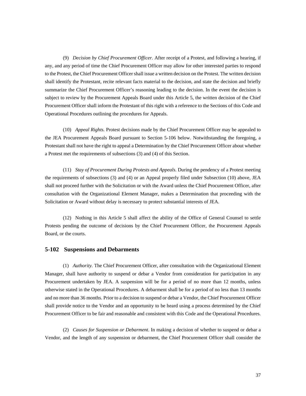(9) *Decision by Chief Procurement Officer.* After receipt of a Protest, and following a hearing, if any, and any period of time the Chief Procurement Officer may allow for other interested parties to respond to the Protest, the Chief Procurement Officer shall issue a written decision on the Protest. The written decision shall identify the Protestant, recite relevant facts material to the decision, and state the decision and briefly summarize the Chief Procurement Officer's reasoning leading to the decision. In the event the decision is subject to review by the Procurement Appeals Board under this Article 5, the written decision of the Chief Procurement Officer shall inform the Protestant of this right with a reference to the Sections of this Code and Operational Procedures outlining the procedures for Appeals.

(10) *Appeal Rights.* Protest decisions made by the Chief Procurement Officer may be appealed to the JEA Procurement Appeals Board pursuant to Section 5-106 below. Notwithstanding the foregoing, a Protestant shall not have the right to appeal a Determination by the Chief Procurement Officer about whether a Protest met the requirements of subsections (3) and (4) of this Section.

(11) *Stay of Procurement During Protests and Appeals.* During the pendency of a Protest meeting the requirements of subsections (3) and (4) or an Appeal properly filed under Subsection (10) above, JEA shall not proceed further with the Solicitation or with the Award unless the Chief Procurement Officer, after consultation with the Organizational Element Manager, makes a Determination that proceeding with the Solicitation or Award without delay is necessary to protect substantial interests of JEA.

(12) Nothing in this Article 5 shall affect the ability of the Office of General Counsel to settle Protests pending the outcome of decisions by the Chief Procurement Officer, the Procurement Appeals Board, or the courts.

#### <span id="page-40-0"></span>**5-102 Suspensions and Debarments**

(1) *Authority.* The Chief Procurement Officer, after consultation with the Organizational Element Manager, shall have authority to suspend or debar a Vendor from consideration for participation in any Procurement undertaken by JEA. A suspension will be for a period of no more than 12 months, unless otherwise stated in the Operational Procedures. A debarment shall be for a period of no less than 13 months and no more than 36 months. Prior to a decision to suspend or debar a Vendor, the Chief Procurement Officer shall provide notice to the Vendor and an opportunity to be heard using a process determined by the Chief Procurement Officer to be fair and reasonable and consistent with this Code and the Operational Procedures.

(2) *Causes for Suspension or Debarment*. In making a decision of whether to suspend or debar a Vendor, and the length of any suspension or debarment, the Chief Procurement Officer shall consider the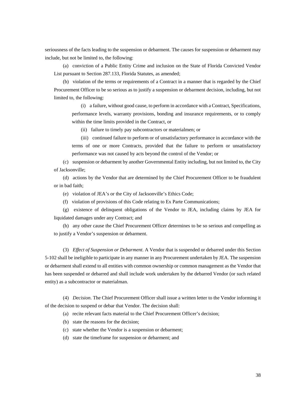seriousness of the facts leading to the suspension or debarment. The causes for suspension or debarment may include, but not be limited to, the following:

(a) conviction of a Public Entity Crime and inclusion on the State of Florida Convicted Vendor List pursuant to Section 287.133, Florida Statutes, as amended;

(b) violation of the terms or requirements of a Contract in a manner that is regarded by the Chief Procurement Officer to be so serious as to justify a suspension or debarment decision, including, but not limited to, the following:

(i) a failure, without good cause, to perform in accordance with a Contract, Specifications, performance levels, warranty provisions, bonding and insurance requirements, or to comply within the time limits provided in the Contract, or

(ii) failure to timely pay subcontractors or materialmen; or

(iii) continued failure to perform or of unsatisfactory performance in accordance with the terms of one or more Contracts, provided that the failure to perform or unsatisfactory performance was not caused by acts beyond the control of the Vendor; or

(c) suspension or debarment by another Governmental Entity including, but not limited to, the City of Jacksonville;

(d) actions by the Vendor that are determined by the Chief Procurement Officer to be fraudulent or in bad faith;

(e) violation of JEA's or the City of Jacksonville's Ethics Code;

(f) violation of provisions of this Code relating to Ex Parte Communications;

(g) existence of delinquent obligations of the Vendor to JEA, including claims by JEA for liquidated damages under any Contract; and

(h) any other cause the Chief Procurement Officer determines to be so serious and compelling as to justify a Vendor's suspension or debarment.

(3) *Effect of Suspension or Debarment*. A Vendor that is suspended or debarred under this Section 5-102 shall be ineligible to participate in any manner in any Procurement undertaken by JEA. The suspension or debarment shall extend to all entities with common ownership or common management as the Vendor that has been suspended or debarred and shall include work undertaken by the debarred Vendor (or such related entity) as a subcontractor or materialman.

(4) *Decision*. The Chief Procurement Officer shall issue a written letter to the Vendor informing it of the decision to suspend or debar that Vendor. The decision shall:

(a) recite relevant facts material to the Chief Procurement Officer's decision;

(b) state the reasons for the decision;

(c) state whether the Vendor is a suspension or debarment;

(d) state the timeframe for suspension or debarment; and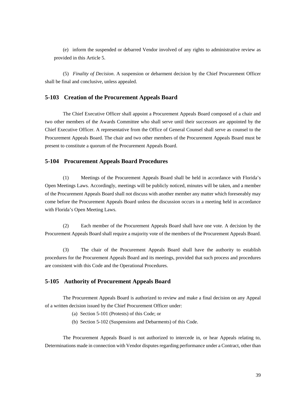(e) inform the suspended or debarred Vendor involved of any rights to administrative review as provided in this Article 5.

(5) *Finality of Decision*. A suspension or debarment decision by the Chief Procurement Officer shall be final and conclusive, unless appealed.

#### <span id="page-42-0"></span>**5-103 Creation of the Procurement Appeals Board**

The Chief Executive Officer shall appoint a Procurement Appeals Board composed of a chair and two other members of the Awards Committee who shall serve until their successors are appointed by the Chief Executive Officer. A representative from the Office of General Counsel shall serve as counsel to the Procurement Appeals Board. The chair and two other members of the Procurement Appeals Board must be present to constitute a quorum of the Procurement Appeals Board.

#### <span id="page-42-1"></span>**5-104 Procurement Appeals Board Procedures**

(1) Meetings of the Procurement Appeals Board shall be held in accordance with Florida's Open Meetings Laws. Accordingly, meetings will be publicly noticed, minutes will be taken, and a member of the Procurement Appeals Board shall not discuss with another member any matter which foreseeably may come before the Procurement Appeals Board unless the discussion occurs in a meeting held in accordance with Florida's Open Meeting Laws.

(2) Each member of the Procurement Appeals Board shall have one vote. A decision by the Procurement Appeals Board shall require a majority vote of the members of the Procurement Appeals Board.

(3) The chair of the Procurement Appeals Board shall have the authority to establish procedures for the Procurement Appeals Board and its meetings, provided that such process and procedures are consistent with this Code and the Operational Procedures.

#### <span id="page-42-2"></span>**5-105 Authority of Procurement Appeals Board**

The Procurement Appeals Board is authorized to review and make a final decision on any Appeal of a written decision issued by the Chief Procurement Officer under:

- (a) Section 5-101 (Protests) of this Code; or
- (b) Section 5-102 (Suspensions and Debarments) of this Code.

The Procurement Appeals Board is not authorized to intercede in, or hear Appeals relating to, Determinations made in connection with Vendor disputes regarding performance under a Contract, other than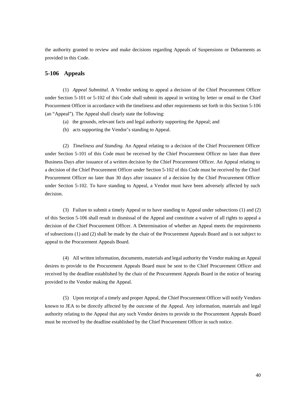the authority granted to review and make decisions regarding Appeals of Suspensions or Debarments as provided in this Code.

#### <span id="page-43-0"></span>**5-106 Appeals**

(1) *Appeal Submittal*. A Vendor seeking to appeal a decision of the Chief Procurement Officer under Section 5-101 or 5-102 of this Code shall submit its appeal in writing by letter or email to the Chief Procurement Officer in accordance with the timeliness and other requirements set forth in this Section 5-106 (an "Appeal"). The Appeal shall clearly state the following:

- (a) the grounds, relevant facts and legal authority supporting the Appeal; and
- (b) acts supporting the Vendor's standing to Appeal.

(2) *Timeliness and Standing.* An Appeal relating to a decision of the Chief Procurement Officer under Section 5-101 of this Code must be received by the Chief Procurement Officer no later than three Business Days after issuance of a written decision by the Chief Procurement Officer. An Appeal relating to a decision of the Chief Procurement Officer under Section 5-102 of this Code must be received by the Chief Procurement Officer no later than 30 days after issuance of a decision by the Chief Procurement Officer under Section 5-102. To have standing to Appeal, a Vendor must have been adversely affected by such decision.

(3) Failure to submit a timely Appeal or to have standing to Appeal under subsections (1) and (2) of this Section 5-106 shall result in dismissal of the Appeal and constitute a waiver of all rights to appeal a decision of the Chief Procurement Officer. A Determination of whether an Appeal meets the requirements of subsections (1) and (2) shall be made by the chair of the Procurement Appeals Board and is not subject to appeal to the Procurement Appeals Board.

(4) All written information, documents, materials and legal authority the Vendor making an Appeal desires to provide to the Procurement Appeals Board must be sent to the Chief Procurement Officer and received by the deadline established by the chair of the Procurement Appeals Board in the notice of hearing provided to the Vendor making the Appeal.

(5) Upon receipt of a timely and proper Appeal, the Chief Procurement Officer will notify Vendors known to JEA to be directly affected by the outcome of the Appeal. Any information, materials and legal authority relating to the Appeal that any such Vendor desires to provide to the Procurement Appeals Board must be received by the deadline established by the Chief Procurement Officer in such notice.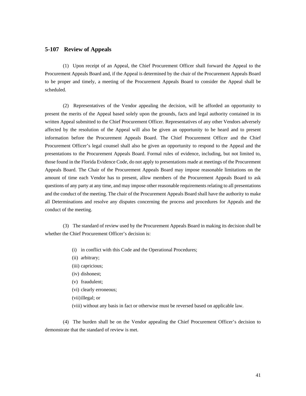#### <span id="page-44-0"></span>**5-107 Review of Appeals**

(1) Upon receipt of an Appeal, the Chief Procurement Officer shall forward the Appeal to the Procurement Appeals Board and, if the Appeal is determined by the chair of the Procurement Appeals Board to be proper and timely, a meeting of the Procurement Appeals Board to consider the Appeal shall be scheduled.

(2) Representatives of the Vendor appealing the decision, will be afforded an opportunity to present the merits of the Appeal based solely upon the grounds, facts and legal authority contained in its written Appeal submitted to the Chief Procurement Officer. Representatives of any other Vendors adversely affected by the resolution of the Appeal will also be given an opportunity to be heard and to present information before the Procurement Appeals Board. The Chief Procurement Officer and the Chief Procurement Officer's legal counsel shall also be given an opportunity to respond to the Appeal and the presentations to the Procurement Appeals Board. Formal rules of evidence, including, but not limited to, those found in the Florida Evidence Code, do not apply to presentations made at meetings of the Procurement Appeals Board. The Chair of the Procurement Appeals Board may impose reasonable limitations on the amount of time each Vendor has to present, allow members of the Procurement Appeals Board to ask questions of any party at any time, and may impose other reasonable requirements relating to all presentations and the conduct of the meeting. The chair of the Procurement Appeals Board shall have the authority to make all Determinations and resolve any disputes concerning the process and procedures for Appeals and the conduct of the meeting.

(3) The standard of review used by the Procurement Appeals Board in making its decision shall be whether the Chief Procurement Officer's decision is:

- (i) in conflict with this Code and the Operational Procedures;
- (ii) arbitrary;
- (iii) capricious;
- (iv) dishonest;
- (v) fraudulent;
- (vi) clearly erroneous;
- (vii)illegal; or
- (viii) without any basis in fact or otherwise must be reversed based on applicable law.

(4) The burden shall be on the Vendor appealing the Chief Procurement Officer's decision to demonstrate that the standard of review is met.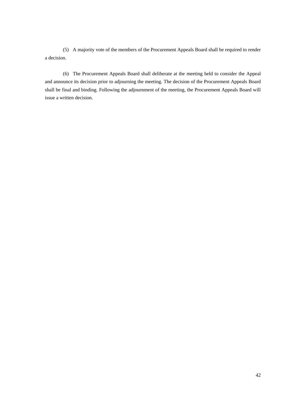(5) A majority vote of the members of the Procurement Appeals Board shall be required to render a decision.

(6) The Procurement Appeals Board shall deliberate at the meeting held to consider the Appeal and announce its decision prior to adjourning the meeting. The decision of the Procurement Appeals Board shall be final and binding. Following the adjournment of the meeting, the Procurement Appeals Board will issue a written decision.